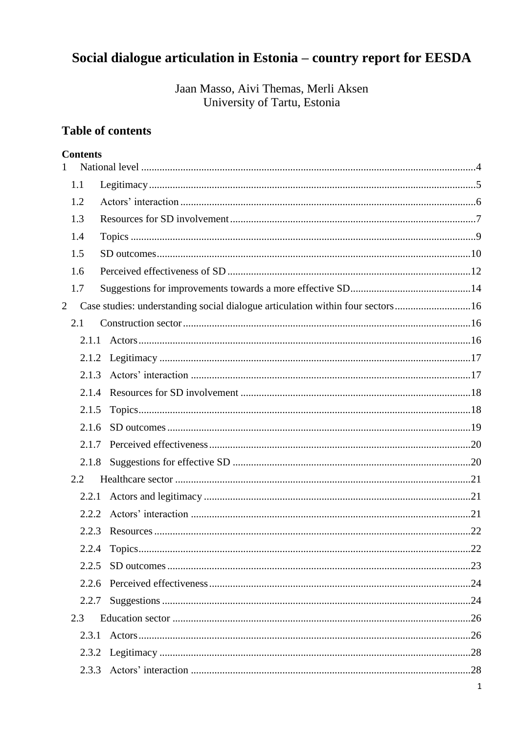# Social dialogue articulation in Estonia - country report for EESDA

Jaan Masso, Aivi Themas, Merli Aksen University of Tartu, Estonia

# **Table of contents**

#### **Contents**

| $\mathbf{1}$ |       |                                                                                 |    |
|--------------|-------|---------------------------------------------------------------------------------|----|
|              | 1.1   |                                                                                 |    |
|              | 1.2   |                                                                                 |    |
|              | 1.3   |                                                                                 |    |
|              | 1.4   |                                                                                 |    |
|              | 1.5   |                                                                                 |    |
|              | 1.6   |                                                                                 |    |
|              | 1.7   |                                                                                 |    |
| 2            |       | Case studies: understanding social dialogue articulation within four sectors 16 |    |
|              | 2.1   |                                                                                 |    |
|              | 2.1.1 |                                                                                 |    |
|              |       |                                                                                 |    |
|              | 2.1.3 |                                                                                 |    |
|              | 2.1.4 |                                                                                 |    |
|              | 2.1.5 |                                                                                 |    |
|              | 2.1.6 |                                                                                 |    |
|              | 2.1.7 |                                                                                 |    |
|              | 2.1.8 |                                                                                 |    |
|              | 2.2   |                                                                                 |    |
|              | 2.2.1 |                                                                                 |    |
|              | 2.2.2 |                                                                                 |    |
|              | 2.2.3 |                                                                                 |    |
|              |       | 2.2.4 Topics                                                                    | 22 |
|              | 2.2.5 |                                                                                 |    |
|              | 2.2.6 |                                                                                 |    |
|              | 2.2.7 |                                                                                 |    |
|              | 2.3   |                                                                                 |    |
|              | 2.3.1 |                                                                                 |    |
|              |       |                                                                                 |    |
|              |       |                                                                                 |    |
|              |       |                                                                                 |    |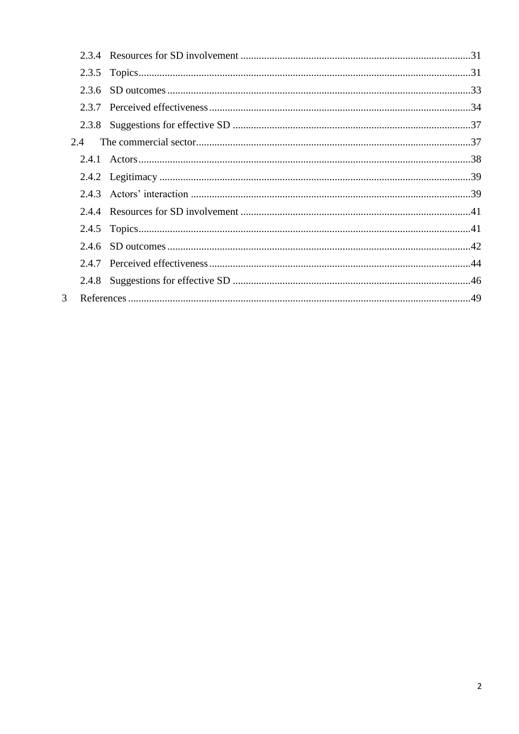| 2.4 |  |
|-----|--|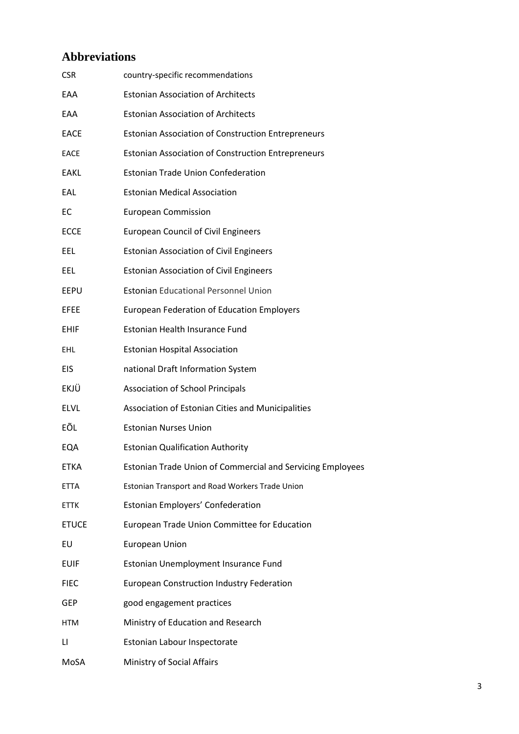# **Abbreviations**

| <b>CSR</b>  | country-specific recommendations                                  |
|-------------|-------------------------------------------------------------------|
| EAA         | <b>Estonian Association of Architects</b>                         |
| EAA         | <b>Estonian Association of Architects</b>                         |
| EACE        | <b>Estonian Association of Construction Entrepreneurs</b>         |
| <b>EACE</b> | <b>Estonian Association of Construction Entrepreneurs</b>         |
| EAKL        | <b>Estonian Trade Union Confederation</b>                         |
| EAL         | <b>Estonian Medical Association</b>                               |
| EC          | <b>European Commission</b>                                        |
| <b>ECCE</b> | <b>European Council of Civil Engineers</b>                        |
| EEL         | <b>Estonian Association of Civil Engineers</b>                    |
| EEL         | <b>Estonian Association of Civil Engineers</b>                    |
| EEPU        | <b>Estonian Educational Personnel Union</b>                       |
| EFEE        | <b>European Federation of Education Employers</b>                 |
| <b>EHIF</b> | Estonian Health Insurance Fund                                    |
| EHL         | <b>Estonian Hospital Association</b>                              |
| EIS         | national Draft Information System                                 |
| EKJÜ        | <b>Association of School Principals</b>                           |
| <b>ELVL</b> | Association of Estonian Cities and Municipalities                 |
| EÕL         | <b>Estonian Nurses Union</b>                                      |
| EQA         | <b>Estonian Qualification Authority</b>                           |
| ETKA        | <b>Estonian Trade Union of Commercial and Servicing Employees</b> |
| ETTA        | Estonian Transport and Road Workers Trade Union                   |
| ETTK        | Estonian Employers' Confederation                                 |
| ETUCE       | European Trade Union Committee for Education                      |
| EU          | <b>European Union</b>                                             |
| <b>EUIF</b> | Estonian Unemployment Insurance Fund                              |
| <b>FIEC</b> | <b>European Construction Industry Federation</b>                  |
| GEP         | good engagement practices                                         |
| HTM         | Ministry of Education and Research                                |
| LI          | Estonian Labour Inspectorate                                      |
| MoSA        | Ministry of Social Affairs                                        |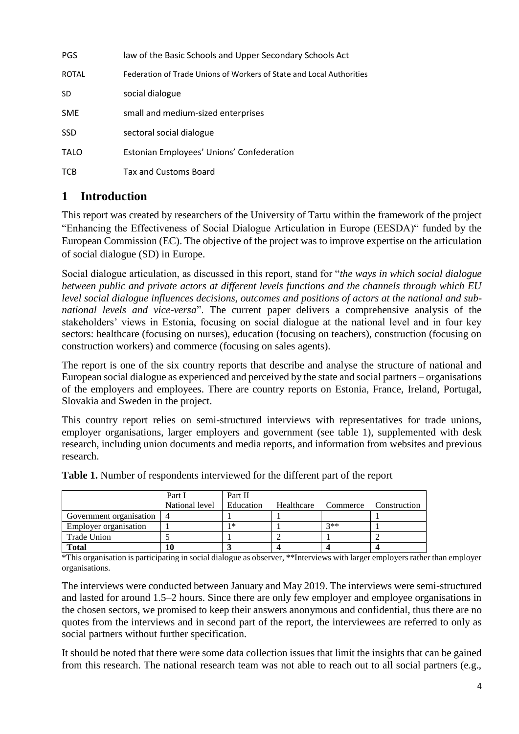| <b>PGS</b>   | law of the Basic Schools and Upper Secondary Schools Act             |
|--------------|----------------------------------------------------------------------|
| <b>ROTAL</b> | Federation of Trade Unions of Workers of State and Local Authorities |
| SD           | social dialogue                                                      |
| <b>SME</b>   | small and medium-sized enterprises                                   |
| <b>SSD</b>   | sectoral social dialogue                                             |
| <b>TALO</b>  | Estonian Employees' Unions' Confederation                            |
| TCB          | <b>Tax and Customs Board</b>                                         |

# <span id="page-3-0"></span>**1 Introduction**

This report was created by researchers of the University of Tartu within the framework of the project "Enhancing the Effectiveness of Social Dialogue Articulation in Europe (EESDA)" funded by the European Commission (EC). The objective of the project was to improve expertise on the articulation of social dialogue (SD) in Europe.

Social dialogue articulation, as discussed in this report, stand for "*the ways in which social dialogue between public and private actors at different levels functions and the channels through which EU level social dialogue influences decisions, outcomes and positions of actors at the national and subnational levels and vice-versa*". The current paper delivers a comprehensive analysis of the stakeholders' views in Estonia, focusing on social dialogue at the national level and in four key sectors: healthcare (focusing on nurses), education (focusing on teachers), construction (focusing on construction workers) and commerce (focusing on sales agents).

The report is one of the six country reports that describe and analyse the structure of national and European social dialogue as experienced and perceived by the state and social partners – organisations of the employers and employees. There are country reports on Estonia, France, Ireland, Portugal, Slovakia and Sweden in the project.

This country report relies on semi-structured interviews with representatives for trade unions, employer organisations, larger employers and government (see table 1), supplemented with desk research, including union documents and media reports, and information from websites and previous research.

|                              | Part I         | Part II   |            |          |              |
|------------------------------|----------------|-----------|------------|----------|--------------|
|                              | National level | Education | Healthcare | Commerce | Construction |
| Government organisation   4  |                |           |            |          |              |
| <b>Employer organisation</b> |                | 1∗        |            | $2**$    |              |
| Trade Union                  |                |           |            |          |              |
| <b>Total</b>                 | 10             |           |            |          |              |

**Table 1.** Number of respondents interviewed for the different part of the report

\*This organisation is participating in social dialogue as observer, \*\*Interviews with larger employers rather than employer organisations.

The interviews were conducted between January and May 2019. The interviews were semi-structured and lasted for around 1.5–2 hours. Since there are only few employer and employee organisations in the chosen sectors, we promised to keep their answers anonymous and confidential, thus there are no quotes from the interviews and in second part of the report, the interviewees are referred to only as social partners without further specification.

It should be noted that there were some data collection issues that limit the insights that can be gained from this research. The national research team was not able to reach out to all social partners (e.g.,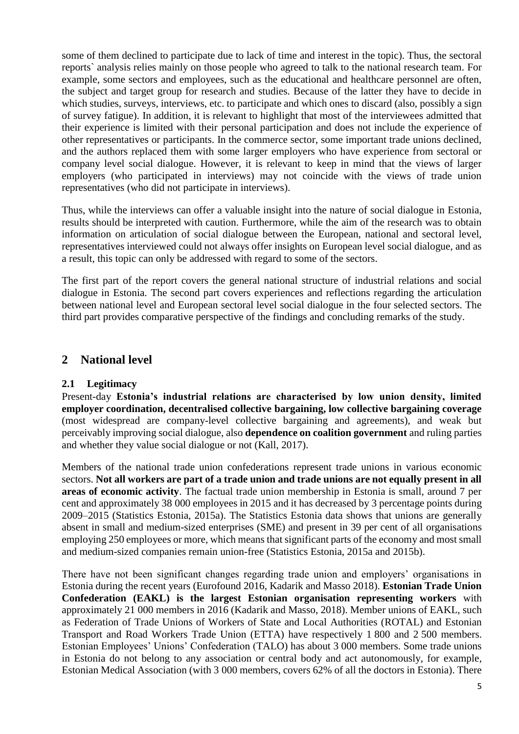some of them declined to participate due to lack of time and interest in the topic). Thus, the sectoral reports` analysis relies mainly on those people who agreed to talk to the national research team. For example, some sectors and employees, such as the educational and healthcare personnel are often, the subject and target group for research and studies. Because of the latter they have to decide in which studies, surveys, interviews, etc. to participate and which ones to discard (also, possibly a sign of survey fatigue). In addition, it is relevant to highlight that most of the interviewees admitted that their experience is limited with their personal participation and does not include the experience of other representatives or participants. In the commerce sector, some important trade unions declined, and the authors replaced them with some larger employers who have experience from sectoral or company level social dialogue. However, it is relevant to keep in mind that the views of larger employers (who participated in interviews) may not coincide with the views of trade union representatives (who did not participate in interviews).

Thus, while the interviews can offer a valuable insight into the nature of social dialogue in Estonia, results should be interpreted with caution. Furthermore, while the aim of the research was to obtain information on articulation of social dialogue between the European, national and sectoral level, representatives interviewed could not always offer insights on European level social dialogue, and as a result, this topic can only be addressed with regard to some of the sectors.

The first part of the report covers the general national structure of industrial relations and social dialogue in Estonia. The second part covers experiences and reflections regarding the articulation between national level and European sectoral level social dialogue in the four selected sectors. The third part provides comparative perspective of the findings and concluding remarks of the study.

# **2 National level**

#### <span id="page-4-0"></span>**2.1 Legitimacy**

Present-day **Estonia's industrial relations are characterised by low union density, limited employer coordination, decentralised collective bargaining, low collective bargaining coverage** (most widespread are company-level collective bargaining and agreements), and weak but perceivably improving social dialogue, also **dependence on coalition government** and ruling parties and whether they value social dialogue or not (Kall, 2017).

Members of the national trade union confederations represent trade unions in various economic sectors. **Not all workers are part of a trade union and trade unions are not equally present in all areas of economic activity**. The factual trade union membership in Estonia is small, around 7 per cent and approximately 38 000 employees in 2015 and it has decreased by 3 percentage points during 2009–2015 (Statistics Estonia, 2015a). The Statistics Estonia data shows that unions are generally absent in small and medium-sized enterprises (SME) and present in 39 per cent of all organisations employing 250 employees or more, which means that significant parts of the economy and most small and medium-sized companies remain union-free (Statistics Estonia, 2015a and 2015b).

There have not been significant changes regarding trade union and employers' organisations in Estonia during the recent years (Eurofound 2016, Kadarik and Masso 2018). **Estonian Trade Union Confederation (EAKL) is the largest Estonian organisation representing workers** with approximately 21 000 members in 2016 (Kadarik and Masso, 2018). Member unions of EAKL, such as Federation of Trade Unions of Workers of State and Local Authorities (ROTAL) and Estonian Transport and Road Workers Trade Union (ETTA) have respectively 1 800 and 2 500 members. Estonian Employees' Unions' Confederation (TALO) has about 3 000 members. Some trade unions in Estonia do not belong to any association or central body and act autonomously, for example, Estonian Medical Association (with 3 000 members, covers 62% of all the doctors in Estonia). There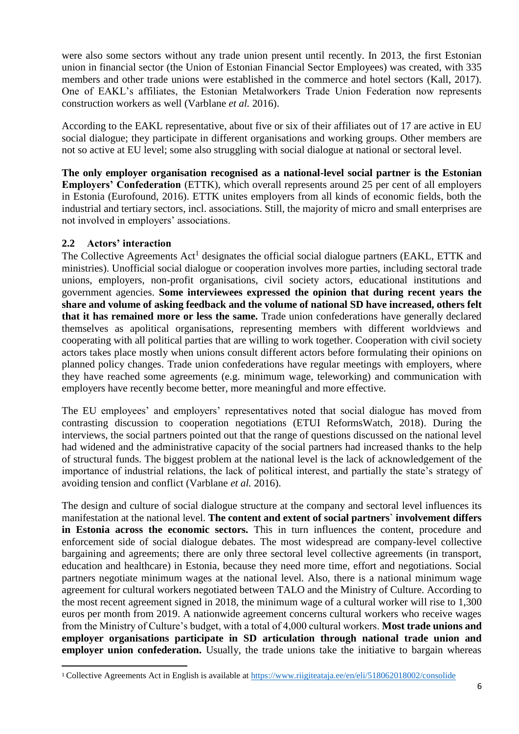were also some sectors without any trade union present until recently. In 2013, the first Estonian union in financial sector (the Union of Estonian Financial Sector Employees) was created, with 335 members and other trade unions were established in the commerce and hotel sectors (Kall, 2017). One of EAKL's affiliates, the Estonian Metalworkers Trade Union Federation now represents construction workers as well (Varblane *et al.* 2016).

According to the EAKL representative, about five or six of their affiliates out of 17 are active in EU social dialogue; they participate in different organisations and working groups. Other members are not so active at EU level; some also struggling with social dialogue at national or sectoral level.

**The only employer organisation recognised as a national-level social partner is the Estonian Employers' Confederation** (ETTK), which overall represents around 25 per cent of all employers in Estonia (Eurofound, 2016). ETTK unites employers from all kinds of economic fields, both the industrial and tertiary sectors, incl. associations. Still, the majority of micro and small enterprises are not involved in employers' associations.

#### <span id="page-5-0"></span>**2.2 Actors' interaction**

 $\overline{a}$ 

The Collective Agreements  $Act<sup>1</sup>$  designates the official social dialogue partners (EAKL, ETTK and ministries). Unofficial social dialogue or cooperation involves more parties, including sectoral trade unions, employers, non-profit organisations, civil society actors, educational institutions and government agencies. **Some interviewees expressed the opinion that during recent years the share and volume of asking feedback and the volume of national SD have increased, others felt that it has remained more or less the same.** Trade union confederations have generally declared themselves as apolitical organisations, representing members with different worldviews and cooperating with all political parties that are willing to work together. Cooperation with civil society actors takes place mostly when unions consult different actors before formulating their opinions on planned policy changes. Trade union confederations have regular meetings with employers, where they have reached some agreements (e.g. minimum wage, teleworking) and communication with employers have recently become better, more meaningful and more effective.

The EU employees' and employers' representatives noted that social dialogue has moved from contrasting discussion to cooperation negotiations (ETUI ReformsWatch, 2018). During the interviews, the social partners pointed out that the range of questions discussed on the national level had widened and the administrative capacity of the social partners had increased thanks to the help of structural funds. The biggest problem at the national level is the lack of acknowledgement of the importance of industrial relations, the lack of political interest, and partially the state's strategy of avoiding tension and conflict (Varblane *et al.* 2016).

The design and culture of social dialogue structure at the company and sectoral level influences its manifestation at the national level. **The content and extent of social partners` involvement differs in Estonia across the economic sectors.** This in turn influences the content, procedure and enforcement side of social dialogue debates. The most widespread are company-level collective bargaining and agreements; there are only three sectoral level collective agreements (in transport, education and healthcare) in Estonia, because they need more time, effort and negotiations. Social partners negotiate minimum wages at the national level. Also, there is a national minimum wage agreement for cultural workers negotiated between TALO and the Ministry of Culture. According to the most recent agreement signed in 2018, the minimum wage of a cultural worker will rise to 1,300 euros per month from 2019. A nationwide agreement concerns cultural workers who receive wages from the Ministry of Culture's budget, with a total of 4,000 cultural workers. **Most trade unions and employer organisations participate in SD articulation through national trade union and employer union confederation.** Usually, the trade unions take the initiative to bargain whereas

<sup>1</sup> Collective Agreements Act in English is available at <https://www.riigiteataja.ee/en/eli/518062018002/consolide>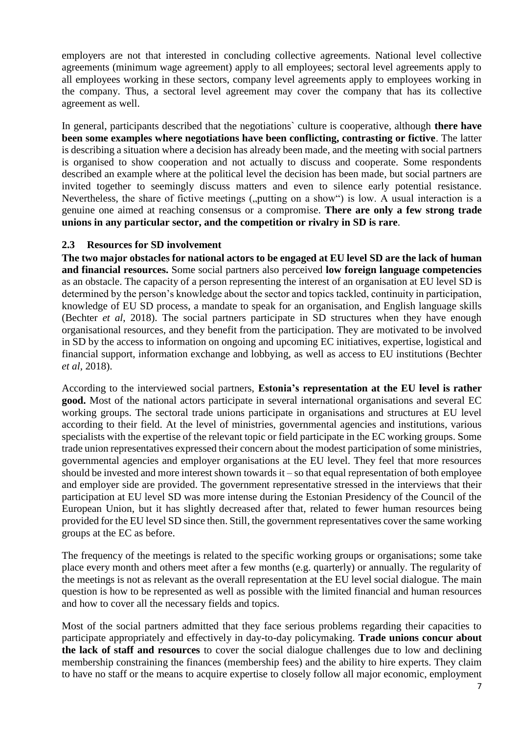employers are not that interested in concluding collective agreements. National level collective agreements (minimum wage agreement) apply to all employees; sectoral level agreements apply to all employees working in these sectors, company level agreements apply to employees working in the company. Thus, a sectoral level agreement may cover the company that has its collective agreement as well.

In general, participants described that the negotiations` culture is cooperative, although **there have been some examples where negotiations have been conflicting, contrasting or fictive**. The latter is describing a situation where a decision has already been made, and the meeting with social partners is organised to show cooperation and not actually to discuss and cooperate. Some respondents described an example where at the political level the decision has been made, but social partners are invited together to seemingly discuss matters and even to silence early potential resistance. Nevertheless, the share of fictive meetings ("putting on a show") is low. A usual interaction is a genuine one aimed at reaching consensus or a compromise. **There are only a few strong trade unions in any particular sector, and the competition or rivalry in SD is rare**.

## <span id="page-6-0"></span>**2.3 Resources for SD involvement**

**The two major obstacles for national actors to be engaged at EU level SD are the lack of human and financial resources.** Some social partners also perceived **low foreign language competencies** as an obstacle. The capacity of a person representing the interest of an organisation at EU level SD is determined by the person's knowledge about the sector and topics tackled, continuity in participation, knowledge of EU SD process, a mandate to speak for an organisation, and English language skills (Bechter *et al*, 2018). The social partners participate in SD structures when they have enough organisational resources, and they benefit from the participation. They are motivated to be involved in SD by the access to information on ongoing and upcoming EC initiatives, expertise, logistical and financial support, information exchange and lobbying, as well as access to EU institutions (Bechter *et al*, 2018).

According to the interviewed social partners, **Estonia's representation at the EU level is rather good.** Most of the national actors participate in several international organisations and several EC working groups. The sectoral trade unions participate in organisations and structures at EU level according to their field. At the level of ministries, governmental agencies and institutions, various specialists with the expertise of the relevant topic or field participate in the EC working groups. Some trade union representatives expressed their concern about the modest participation of some ministries, governmental agencies and employer organisations at the EU level. They feel that more resources should be invested and more interest shown towards it – so that equal representation of both employee and employer side are provided. The government representative stressed in the interviews that their participation at EU level SD was more intense during the Estonian Presidency of the Council of the European Union, but it has slightly decreased after that, related to fewer human resources being provided for the EU level SD since then. Still, the government representatives cover the same working groups at the EC as before.

The frequency of the meetings is related to the specific working groups or organisations; some take place every month and others meet after a few months (e.g. quarterly) or annually. The regularity of the meetings is not as relevant as the overall representation at the EU level social dialogue. The main question is how to be represented as well as possible with the limited financial and human resources and how to cover all the necessary fields and topics.

Most of the social partners admitted that they face serious problems regarding their capacities to participate appropriately and effectively in day-to-day policymaking. **Trade unions concur about the lack of staff and resources** to cover the social dialogue challenges due to low and declining membership constraining the finances (membership fees) and the ability to hire experts. They claim to have no staff or the means to acquire expertise to closely follow all major economic, employment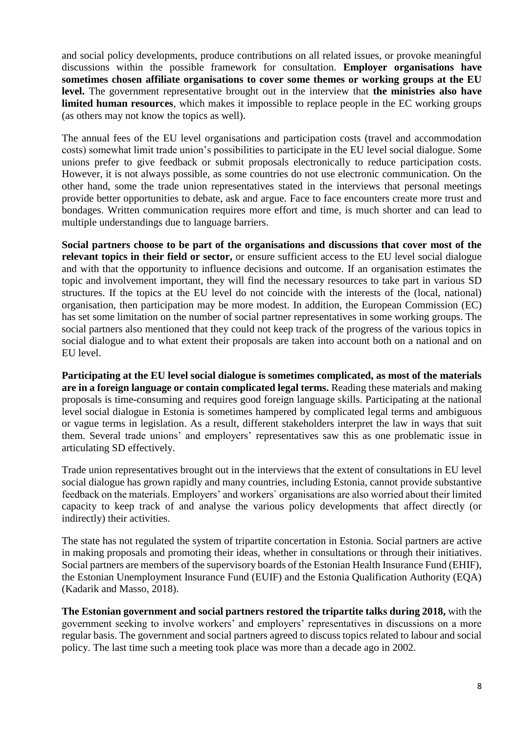and social policy developments, produce contributions on all related issues, or provoke meaningful discussions within the possible framework for consultation. **Employer organisations have sometimes chosen affiliate organisations to cover some themes or working groups at the EU level.** The government representative brought out in the interview that **the ministries also have limited human resources**, which makes it impossible to replace people in the EC working groups (as others may not know the topics as well).

The annual fees of the EU level organisations and participation costs (travel and accommodation costs) somewhat limit trade union's possibilities to participate in the EU level social dialogue. Some unions prefer to give feedback or submit proposals electronically to reduce participation costs. However, it is not always possible, as some countries do not use electronic communication. On the other hand, some the trade union representatives stated in the interviews that personal meetings provide better opportunities to debate, ask and argue. Face to face encounters create more trust and bondages. Written communication requires more effort and time, is much shorter and can lead to multiple understandings due to language barriers.

**Social partners choose to be part of the organisations and discussions that cover most of the relevant topics in their field or sector,** or ensure sufficient access to the EU level social dialogue and with that the opportunity to influence decisions and outcome. If an organisation estimates the topic and involvement important, they will find the necessary resources to take part in various SD structures. If the topics at the EU level do not coincide with the interests of the (local, national) organisation, then participation may be more modest. In addition, the European Commission (EC) has set some limitation on the number of social partner representatives in some working groups. The social partners also mentioned that they could not keep track of the progress of the various topics in social dialogue and to what extent their proposals are taken into account both on a national and on EU level.

**Participating at the EU level social dialogue is sometimes complicated, as most of the materials are in a foreign language or contain complicated legal terms.** Reading these materials and making proposals is time-consuming and requires good foreign language skills. Participating at the national level social dialogue in Estonia is sometimes hampered by complicated legal terms and ambiguous or vague terms in legislation. As a result, different stakeholders interpret the law in ways that suit them. Several trade unions' and employers' representatives saw this as one problematic issue in articulating SD effectively.

Trade union representatives brought out in the interviews that the extent of consultations in EU level social dialogue has grown rapidly and many countries, including Estonia, cannot provide substantive feedback on the materials. Employers' and workers` organisations are also worried about their limited capacity to keep track of and analyse the various policy developments that affect directly (or indirectly) their activities.

The state has not regulated the system of tripartite concertation in Estonia. Social partners are active in making proposals and promoting their ideas, whether in consultations or through their initiatives. Social partners are members of the supervisory boards of the Estonian Health Insurance Fund (EHIF), the Estonian Unemployment Insurance Fund (EUIF) and the Estonia Qualification Authority (EQA) (Kadarik and Masso, 2018).

**The Estonian government and social partners restored the tripartite talks during 2018,** with the government seeking to involve workers' and employers' representatives in discussions on a more regular basis. The government and social partners agreed to discuss topics related to labour and social policy. The last time such a meeting took place was more than a decade ago in 2002.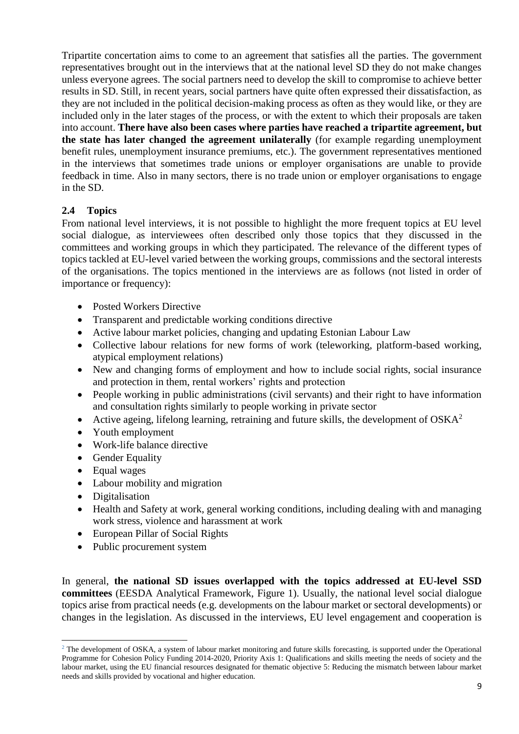Tripartite concertation aims to come to an agreement that satisfies all the parties. The government representatives brought out in the interviews that at the national level SD they do not make changes unless everyone agrees. The social partners need to develop the skill to compromise to achieve better results in SD. Still, in recent years, social partners have quite often expressed their dissatisfaction, as they are not included in the political decision-making process as often as they would like, or they are included only in the later stages of the process, or with the extent to which their proposals are taken into account. **There have also been cases where parties have reached a tripartite agreement, but the state has later changed the agreement unilaterally** (for example regarding unemployment benefit rules, unemployment insurance premiums, etc.). The government representatives mentioned in the interviews that sometimes trade unions or employer organisations are unable to provide feedback in time. Also in many sectors, there is no trade union or employer organisations to engage in the SD.

## <span id="page-8-0"></span>**2.4 Topics**

From national level interviews, it is not possible to highlight the more frequent topics at EU level social dialogue, as interviewees often described only those topics that they discussed in the committees and working groups in which they participated. The relevance of the different types of topics tackled at EU-level varied between the working groups, commissions and the sectoral interests of the organisations. The topics mentioned in the interviews are as follows (not listed in order of importance or frequency):

- Posted Workers Directive
- Transparent and predictable working conditions directive
- Active labour market policies, changing and updating Estonian Labour Law
- Collective labour relations for new forms of work (teleworking, platform-based working, atypical employment relations)
- New and changing forms of employment and how to include social rights, social insurance and protection in them, rental workers' rights and protection
- People working in public administrations (civil servants) and their right to have information and consultation rights similarly to people working in private sector
- Active ageing, lifelong learning, retraining and future skills, the development of  $OSKA<sup>2</sup>$
- Youth employment
- Work-life balance directive
- Gender Equality
- Equal wages
- Labour mobility and migration
- Digitalisation

 $\overline{a}$ 

- Health and Safety at work, general working conditions, including dealing with and managing work stress, violence and harassment at work
- European Pillar of Social Rights
- Public procurement system

In general, **the national SD issues overlapped with the topics addressed at EU-level SSD committees** (EESDA Analytical Framework, Figure 1). Usually, the national level social dialogue topics arise from practical needs (e.g. developments on the labour market or sectoral developments) or changes in the legislation. As discussed in the interviews, EU level engagement and cooperation is

<sup>&</sup>lt;sup>2</sup> The development of OSKA, a system of labour market monitoring and future skills forecasting, is supported under the Operational Programme for Cohesion Policy Funding 2014-2020, Priority Axis 1: Qualifications and skills meeting the needs of society and the labour market, using the EU financial resources designated for thematic objective 5: Reducing the mismatch between labour market needs and skills provided by vocational and higher education.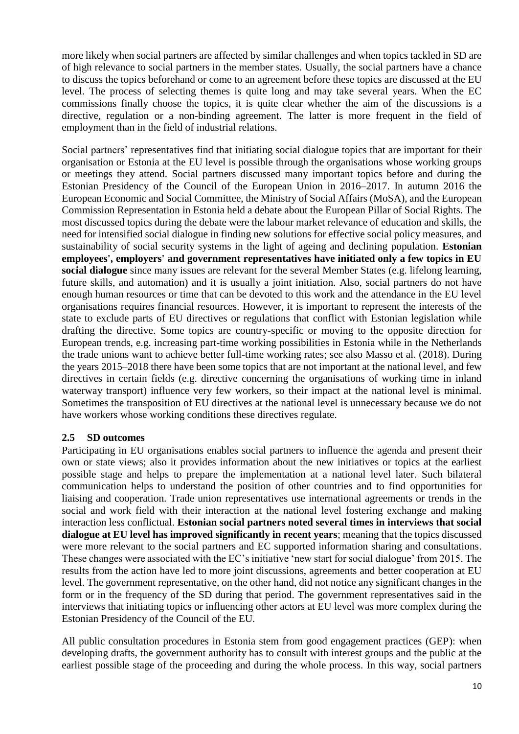more likely when social partners are affected by similar challenges and when topics tackled in SD are of high relevance to social partners in the member states. Usually, the social partners have a chance to discuss the topics beforehand or come to an agreement before these topics are discussed at the EU level. The process of selecting themes is quite long and may take several years. When the EC commissions finally choose the topics, it is quite clear whether the aim of the discussions is a directive, regulation or a non-binding agreement. The latter is more frequent in the field of employment than in the field of industrial relations.

Social partners' representatives find that initiating social dialogue topics that are important for their organisation or Estonia at the EU level is possible through the organisations whose working groups or meetings they attend. Social partners discussed many important topics before and during the Estonian Presidency of the Council of the European Union in 2016–2017. In autumn 2016 the European Economic and Social Committee, the Ministry of Social Affairs (MoSA), and the European Commission Representation in Estonia held a debate about the European Pillar of Social Rights. The most discussed topics during the debate were the labour market relevance of education and skills, the need for intensified social dialogue in finding new solutions for effective social policy measures, and sustainability of social security systems in the light of ageing and declining population. **Estonian employees', employers' and government representatives have initiated only a few topics in EU social dialogue** since many issues are relevant for the several Member States (e.g. lifelong learning, future skills, and automation) and it is usually a joint initiation. Also, social partners do not have enough human resources or time that can be devoted to this work and the attendance in the EU level organisations requires financial resources. However, it is important to represent the interests of the state to exclude parts of EU directives or regulations that conflict with Estonian legislation while drafting the directive. Some topics are country-specific or moving to the opposite direction for European trends, e.g. increasing part-time working possibilities in Estonia while in the Netherlands the trade unions want to achieve better full-time working rates; see also Masso et al. (2018). During the years 2015–2018 there have been some topics that are not important at the national level, and few directives in certain fields (e.g. directive concerning the organisations of working time in inland waterway transport) influence very few workers, so their impact at the national level is minimal. Sometimes the transposition of EU directives at the national level is unnecessary because we do not have workers whose working conditions these directives regulate.

#### <span id="page-9-0"></span>**2.5 SD outcomes**

Participating in EU organisations enables social partners to influence the agenda and present their own or state views; also it provides information about the new initiatives or topics at the earliest possible stage and helps to prepare the implementation at a national level later. Such bilateral communication helps to understand the position of other countries and to find opportunities for liaising and cooperation. Trade union representatives use international agreements or trends in the social and work field with their interaction at the national level fostering exchange and making interaction less conflictual. **Estonian social partners noted several times in interviews that social dialogue at EU level has improved significantly in recent years**; meaning that the topics discussed were more relevant to the social partners and EC supported information sharing and consultations. These changes were associated with the EC's initiative 'new start for social dialogue' from 2015. The results from the action have led to more joint discussions, agreements and better cooperation at EU level. The government representative, on the other hand, did not notice any significant changes in the form or in the frequency of the SD during that period. The government representatives said in the interviews that initiating topics or influencing other actors at EU level was more complex during the Estonian Presidency of the Council of the EU.

All public consultation procedures in Estonia stem from good engagement practices (GEP): when developing drafts, the government authority has to consult with interest groups and the public at the earliest possible stage of the proceeding and during the whole process. In this way, social partners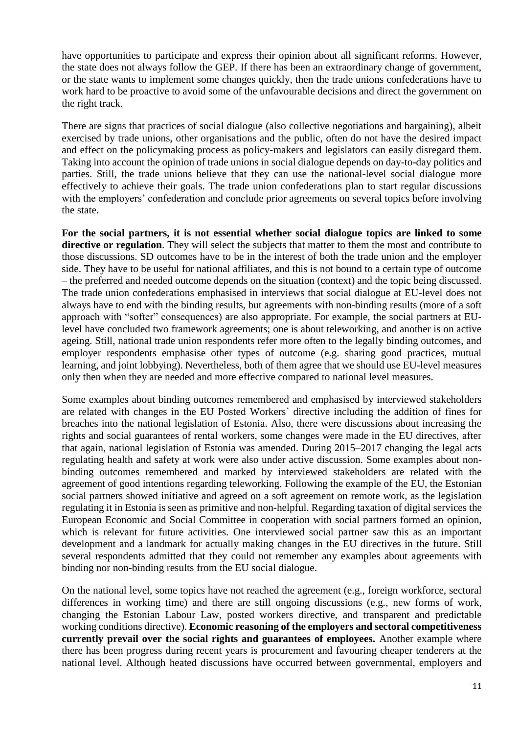have opportunities to participate and express their opinion about all significant reforms. However, the state does not always follow the GEP. If there has been an extraordinary change of government, or the state wants to implement some changes quickly, then the trade unions confederations have to work hard to be proactive to avoid some of the unfavourable decisions and direct the government on the right track.

There are signs that practices of social dialogue (also collective negotiations and bargaining), albeit exercised by trade unions, other organisations and the public, often do not have the desired impact and effect on the policymaking process as policy-makers and legislators can easily disregard them. Taking into account the opinion of trade unions in social dialogue depends on day-to-day politics and parties. Still, the trade unions believe that they can use the national-level social dialogue more effectively to achieve their goals. The trade union confederations plan to start regular discussions with the employers' confederation and conclude prior agreements on several topics before involving the state.

**For the social partners, it is not essential whether social dialogue topics are linked to some directive or regulation**. They will select the subjects that matter to them the most and contribute to those discussions. SD outcomes have to be in the interest of both the trade union and the employer side. They have to be useful for national affiliates, and this is not bound to a certain type of outcome – the preferred and needed outcome depends on the situation (context) and the topic being discussed. The trade union confederations emphasised in interviews that social dialogue at EU-level does not always have to end with the binding results, but agreements with non-binding results (more of a soft approach with "softer" consequences) are also appropriate. For example, the social partners at EUlevel have concluded two framework agreements; one is about teleworking, and another is on active ageing. Still, national trade union respondents refer more often to the legally binding outcomes, and employer respondents emphasise other types of outcome (e.g. sharing good practices, mutual learning, and joint lobbying). Nevertheless, both of them agree that we should use EU-level measures only then when they are needed and more effective compared to national level measures.

Some examples about binding outcomes remembered and emphasised by interviewed stakeholders are related with changes in the EU Posted Workers` directive including the addition of fines for breaches into the national legislation of Estonia. Also, there were discussions about increasing the rights and social guarantees of rental workers, some changes were made in the EU directives, after that again, national legislation of Estonia was amended. During 2015–2017 changing the legal acts regulating health and safety at work were also under active discussion. Some examples about nonbinding outcomes remembered and marked by interviewed stakeholders are related with the agreement of good intentions regarding teleworking. Following the example of the EU, the Estonian social partners showed initiative and agreed on a soft agreement on remote work, as the legislation regulating it in Estonia is seen as primitive and non-helpful. Regarding taxation of digital services the European Economic and Social Committee in cooperation with social partners formed an opinion, which is relevant for future activities. One interviewed social partner saw this as an important development and a landmark for actually making changes in the EU directives in the future. Still several respondents admitted that they could not remember any examples about agreements with binding nor non-binding results from the EU social dialogue.

On the national level, some topics have not reached the agreement (e.g., foreign workforce, sectoral differences in working time) and there are still ongoing discussions (e.g., new forms of work, changing the Estonian Labour Law, posted workers directive, and transparent and predictable working conditions directive). **Economic reasoning of the employers and sectoral competitiveness currently prevail over the social rights and guarantees of employees.** Another example where there has been progress during recent years is procurement and favouring cheaper tenderers at the national level. Although heated discussions have occurred between governmental, employers and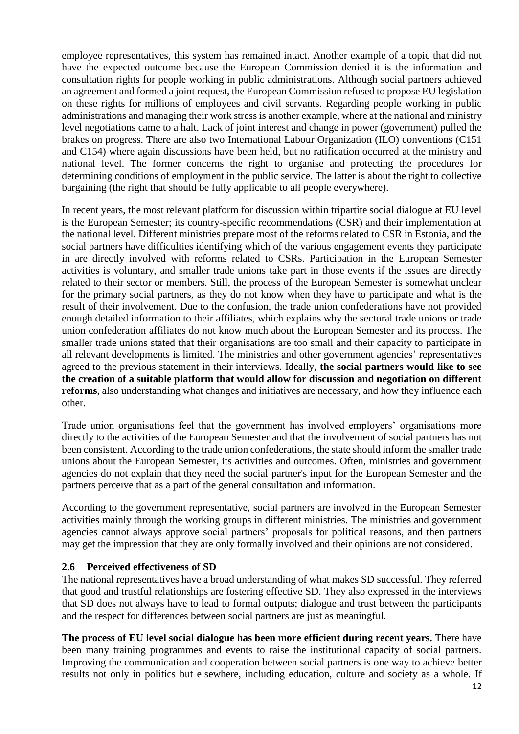employee representatives, this system has remained intact. Another example of a topic that did not have the expected outcome because the European Commission denied it is the information and consultation rights for people working in public administrations. Although social partners achieved an agreement and formed a joint request, the European Commission refused to propose EU legislation on these rights for millions of employees and civil servants. Regarding people working in public administrations and managing their work stress is another example, where at the national and ministry level negotiations came to a halt. Lack of joint interest and change in power (government) pulled the brakes on progress. There are also two International Labour Organization (ILO) conventions (C151 and C154) where again discussions have been held, but no ratification occurred at the ministry and national level. The former concerns the right to organise and protecting the procedures for determining conditions of employment in the public service. The latter is about the right to collective bargaining (the right that should be fully applicable to all people everywhere).

In recent years, the most relevant platform for discussion within tripartite social dialogue at EU level is the European Semester; its country-specific recommendations (CSR) and their implementation at the national level. Different ministries prepare most of the reforms related to CSR in Estonia, and the social partners have difficulties identifying which of the various engagement events they participate in are directly involved with reforms related to CSRs. Participation in the European Semester activities is voluntary, and smaller trade unions take part in those events if the issues are directly related to their sector or members. Still, the process of the European Semester is somewhat unclear for the primary social partners, as they do not know when they have to participate and what is the result of their involvement. Due to the confusion, the trade union confederations have not provided enough detailed information to their affiliates, which explains why the sectoral trade unions or trade union confederation affiliates do not know much about the European Semester and its process. The smaller trade unions stated that their organisations are too small and their capacity to participate in all relevant developments is limited. The ministries and other government agencies' representatives agreed to the previous statement in their interviews. Ideally, **the social partners would like to see the creation of a suitable platform that would allow for discussion and negotiation on different reforms**, also understanding what changes and initiatives are necessary, and how they influence each other.

Trade union organisations feel that the government has involved employers' organisations more directly to the activities of the European Semester and that the involvement of social partners has not been consistent. According to the trade union confederations, the state should inform the smaller trade unions about the European Semester, its activities and outcomes. Often, ministries and government agencies do not explain that they need the social partner's input for the European Semester and the partners perceive that as a part of the general consultation and information.

According to the government representative, social partners are involved in the European Semester activities mainly through the working groups in different ministries. The ministries and government agencies cannot always approve social partners' proposals for political reasons, and then partners may get the impression that they are only formally involved and their opinions are not considered.

#### <span id="page-11-0"></span>**2.6 Perceived effectiveness of SD**

The national representatives have a broad understanding of what makes SD successful. They referred that good and trustful relationships are fostering effective SD. They also expressed in the interviews that SD does not always have to lead to formal outputs; dialogue and trust between the participants and the respect for differences between social partners are just as meaningful.

**The process of EU level social dialogue has been more efficient during recent years.** There have been many training programmes and events to raise the institutional capacity of social partners. Improving the communication and cooperation between social partners is one way to achieve better results not only in politics but elsewhere, including education, culture and society as a whole. If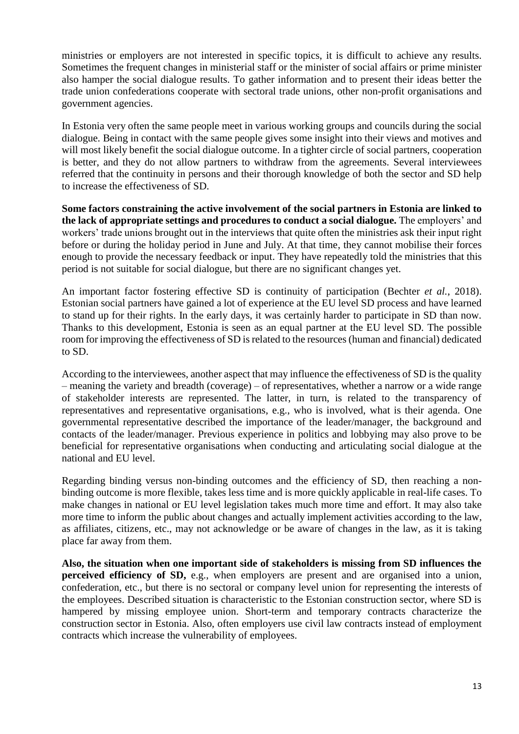ministries or employers are not interested in specific topics, it is difficult to achieve any results. Sometimes the frequent changes in ministerial staff or the minister of social affairs or prime minister also hamper the social dialogue results. To gather information and to present their ideas better the trade union confederations cooperate with sectoral trade unions, other non-profit organisations and government agencies.

In Estonia very often the same people meet in various working groups and councils during the social dialogue. Being in contact with the same people gives some insight into their views and motives and will most likely benefit the social dialogue outcome. In a tighter circle of social partners, cooperation is better, and they do not allow partners to withdraw from the agreements. Several interviewees referred that the continuity in persons and their thorough knowledge of both the sector and SD help to increase the effectiveness of SD.

**Some factors constraining the active involvement of the social partners in Estonia are linked to the lack of appropriate settings and procedures to conduct a social dialogue.** The employers' and workers' trade unions brought out in the interviews that quite often the ministries ask their input right before or during the holiday period in June and July. At that time, they cannot mobilise their forces enough to provide the necessary feedback or input. They have repeatedly told the ministries that this period is not suitable for social dialogue, but there are no significant changes yet.

An important factor fostering effective SD is continuity of participation (Bechter *et al.*, 2018). Estonian social partners have gained a lot of experience at the EU level SD process and have learned to stand up for their rights. In the early days, it was certainly harder to participate in SD than now. Thanks to this development, Estonia is seen as an equal partner at the EU level SD. The possible room for improving the effectiveness of SD is related to the resources (human and financial) dedicated to SD.

According to the interviewees, another aspect that may influence the effectiveness of SD is the quality – meaning the variety and breadth (coverage) – of representatives, whether a narrow or a wide range of stakeholder interests are represented. The latter, in turn, is related to the transparency of representatives and representative organisations, e.g., who is involved, what is their agenda. One governmental representative described the importance of the leader/manager, the background and contacts of the leader/manager. Previous experience in politics and lobbying may also prove to be beneficial for representative organisations when conducting and articulating social dialogue at the national and EU level.

Regarding binding versus non-binding outcomes and the efficiency of SD, then reaching a nonbinding outcome is more flexible, takes less time and is more quickly applicable in real-life cases. To make changes in national or EU level legislation takes much more time and effort. It may also take more time to inform the public about changes and actually implement activities according to the law, as affiliates, citizens, etc., may not acknowledge or be aware of changes in the law, as it is taking place far away from them.

**Also, the situation when one important side of stakeholders is missing from SD influences the perceived efficiency of SD,** e.g., when employers are present and are organised into a union, confederation, etc., but there is no sectoral or company level union for representing the interests of the employees. Described situation is characteristic to the Estonian construction sector, where SD is hampered by missing employee union. Short-term and temporary contracts characterize the construction sector in Estonia. Also, often employers use civil law contracts instead of employment contracts which increase the vulnerability of employees.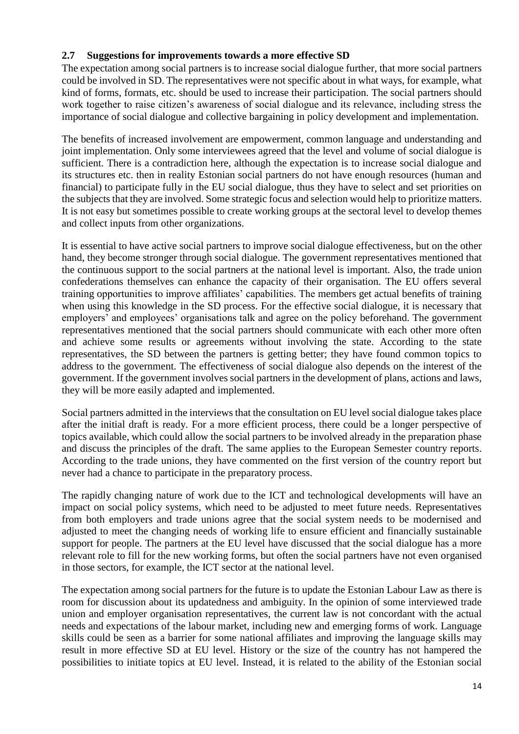## <span id="page-13-0"></span>**2.7 Suggestions for improvements towards a more effective SD**

The expectation among social partners is to increase social dialogue further, that more social partners could be involved in SD. The representatives were not specific about in what ways, for example, what kind of forms, formats, etc. should be used to increase their participation. The social partners should work together to raise citizen's awareness of social dialogue and its relevance, including stress the importance of social dialogue and collective bargaining in policy development and implementation.

The benefits of increased involvement are empowerment, common language and understanding and joint implementation. Only some interviewees agreed that the level and volume of social dialogue is sufficient. There is a contradiction here, although the expectation is to increase social dialogue and its structures etc. then in reality Estonian social partners do not have enough resources (human and financial) to participate fully in the EU social dialogue, thus they have to select and set priorities on the subjects that they are involved. Some strategic focus and selection would help to prioritize matters. It is not easy but sometimes possible to create working groups at the sectoral level to develop themes and collect inputs from other organizations.

It is essential to have active social partners to improve social dialogue effectiveness, but on the other hand, they become stronger through social dialogue. The government representatives mentioned that the continuous support to the social partners at the national level is important. Also, the trade union confederations themselves can enhance the capacity of their organisation. The EU offers several training opportunities to improve affiliates' capabilities. The members get actual benefits of training when using this knowledge in the SD process. For the effective social dialogue, it is necessary that employers' and employees' organisations talk and agree on the policy beforehand. The government representatives mentioned that the social partners should communicate with each other more often and achieve some results or agreements without involving the state. According to the state representatives, the SD between the partners is getting better; they have found common topics to address to the government. The effectiveness of social dialogue also depends on the interest of the government. If the government involves social partners in the development of plans, actions and laws, they will be more easily adapted and implemented.

Social partners admitted in the interviews that the consultation on EU level social dialogue takes place after the initial draft is ready. For a more efficient process, there could be a longer perspective of topics available, which could allow the social partners to be involved already in the preparation phase and discuss the principles of the draft. The same applies to the European Semester country reports. According to the trade unions, they have commented on the first version of the country report but never had a chance to participate in the preparatory process.

The rapidly changing nature of work due to the ICT and technological developments will have an impact on social policy systems, which need to be adjusted to meet future needs. Representatives from both employers and trade unions agree that the social system needs to be modernised and adjusted to meet the changing needs of working life to ensure efficient and financially sustainable support for people. The partners at the EU level have discussed that the social dialogue has a more relevant role to fill for the new working forms, but often the social partners have not even organised in those sectors, for example, the ICT sector at the national level.

The expectation among social partners for the future is to update the Estonian Labour Law as there is room for discussion about its updatedness and ambiguity. In the opinion of some interviewed trade union and employer organisation representatives, the current law is not concordant with the actual needs and expectations of the labour market, including new and emerging forms of work. Language skills could be seen as a barrier for some national affiliates and improving the language skills may result in more effective SD at EU level. History or the size of the country has not hampered the possibilities to initiate topics at EU level. Instead, it is related to the ability of the Estonian social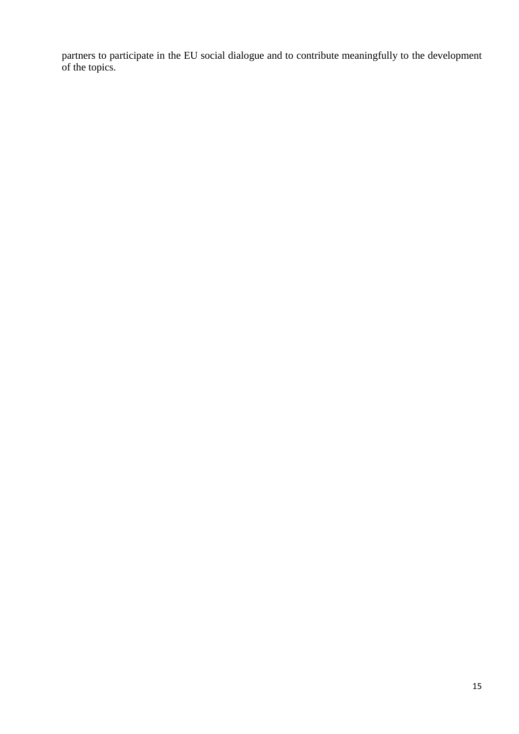partners to participate in the EU social dialogue and to contribute meaningfully to the development of the topics.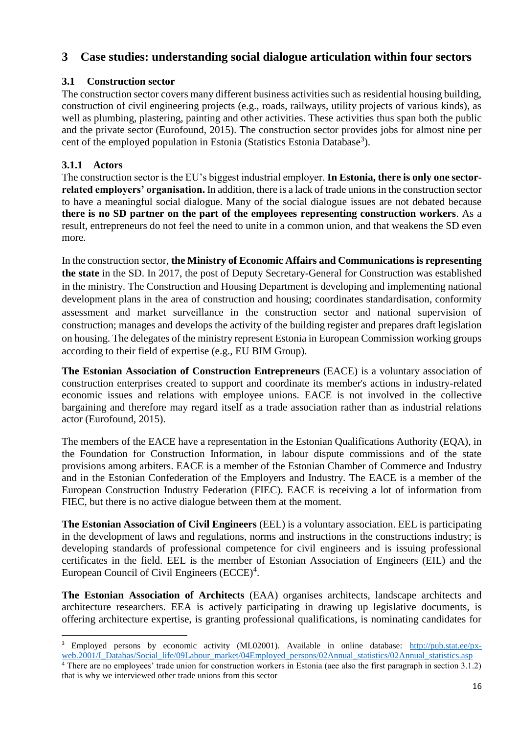# <span id="page-15-0"></span>**3 Case studies: understanding social dialogue articulation within four sectors**

## <span id="page-15-1"></span>**3.1 Construction sector**

The construction sector covers many different business activities such as residential housing building, construction of civil engineering projects (e.g., roads, railways, utility projects of various kinds), as well as plumbing, plastering, painting and other activities. These activities thus span both the public and the private sector (Eurofound, 2015). The construction sector provides jobs for almost nine per cent of the employed population in Estonia (Statistics Estonia Database<sup>3</sup>).

## <span id="page-15-2"></span>**3.1.1 Actors**

The construction sector is the EU's biggest industrial employer. **In Estonia, there is only one sectorrelated employers' organisation.** In addition, there is a lack of trade unions in the construction sector to have a meaningful social dialogue. Many of the social dialogue issues are not debated because **there is no SD partner on the part of the employees representing construction workers**. As a result, entrepreneurs do not feel the need to unite in a common union, and that weakens the SD even more.

In the construction sector, **the Ministry of Economic Affairs and Communications is representing the state** in the SD. In 2017, the post of Deputy Secretary-General for Construction was established in the ministry. The Construction and Housing Department is developing and implementing national development plans in the area of construction and housing; coordinates standardisation, conformity assessment and market surveillance in the construction sector and national supervision of construction; manages and develops the activity of the building register and prepares draft legislation on housing. The delegates of the ministry represent Estonia in European Commission working groups according to their field of expertise (e.g., EU BIM Group).

**The Estonian Association of Construction Entrepreneurs** (EACE) is a voluntary association of construction enterprises created to support and coordinate its member's actions in industry-related economic issues and relations with employee unions. EACE is not involved in the collective bargaining and therefore may regard itself as a trade association rather than as industrial relations actor (Eurofound, 2015).

The members of the EACE have a representation in the Estonian Qualifications Authority (EQA), in the Foundation for Construction Information, in labour dispute commissions and of the state provisions among arbiters. EACE is a member of the Estonian Chamber of Commerce and Industry and in the Estonian Confederation of the Employers and Industry. The EACE is a member of the European Construction Industry Federation (FIEC). EACE is receiving a lot of information from FIEC, but there is no active dialogue between them at the moment.

**The Estonian Association of Civil Engineers** (EEL) is a voluntary association. EEL is participating in the development of laws and regulations, norms and instructions in the constructions industry; is developing standards of professional competence for civil engineers and is issuing professional certificates in the field. EEL is the member of Estonian Association of Engineers (EIL) and the European Council of Civil Engineers (ECCE)<sup>4</sup>.

**The Estonian Association of Architects** (EAA) organises architects, landscape architects and architecture researchers. EEA is actively participating in drawing up legislative documents, is offering architecture expertise, is granting professional qualifications, is nominating candidates for

 $\overline{a}$ 

<sup>3</sup> Employed persons by economic activity (ML02001). Available in online database: [http://pub.stat.ee/px](http://pub.stat.ee/px-web.2001/I_Databas/Social_life/09Labour_market/04Employed_persons/02Annual_statistics/02Annual_statistics.asp)[web.2001/I\\_Databas/Social\\_life/09Labour\\_market/04Employed\\_persons/02Annual\\_statistics/02Annual\\_statistics.asp](http://pub.stat.ee/px-web.2001/I_Databas/Social_life/09Labour_market/04Employed_persons/02Annual_statistics/02Annual_statistics.asp) <sup>4</sup> There are no employees' trade union for construction workers in Estonia (aee also the first paragraph in section 3.1.2)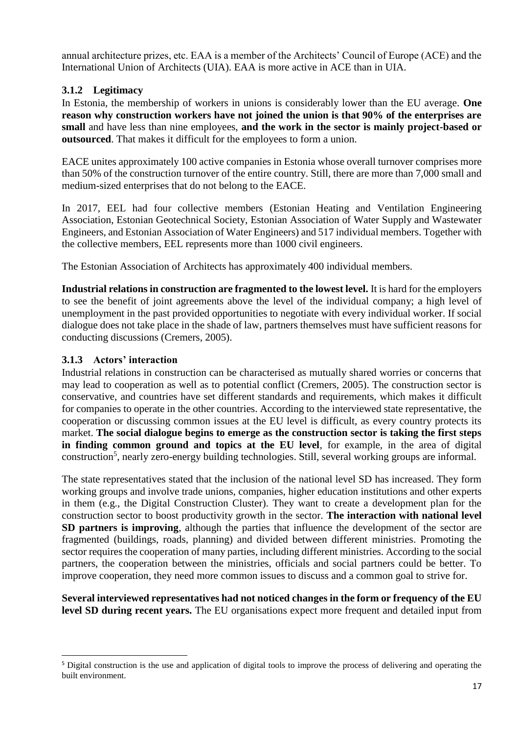annual architecture prizes, etc. EAA is a member of the Architects' Council of Europe (ACE) and the International Union of Architects (UIA). EAA is more active in ACE than in UIA.

## <span id="page-16-0"></span>**3.1.2 Legitimacy**

In Estonia, the membership of workers in unions is considerably lower than the EU average. **One reason why construction workers have not joined the union is that 90% of the enterprises are small** and have less than nine employees, **and the work in the sector is mainly project-based or outsourced**. That makes it difficult for the employees to form a union.

EACE unites approximately 100 active companies in Estonia whose overall turnover comprises more than 50% of the construction turnover of the entire country. Still, there are more than 7,000 small and medium-sized enterprises that do not belong to the EACE.

In 2017, EEL had four collective members (Estonian Heating and Ventilation Engineering Association, Estonian Geotechnical Society, Estonian Association of Water Supply and Wastewater Engineers, and Estonian Association of Water Engineers) and 517 individual members. Together with the collective members, EEL represents more than 1000 civil engineers.

The Estonian Association of Architects has approximately 400 individual members.

**Industrial relations in construction are fragmented to the lowest level.** It is hard for the employers to see the benefit of joint agreements above the level of the individual company; a high level of unemployment in the past provided opportunities to negotiate with every individual worker. If social dialogue does not take place in the shade of law, partners themselves must have sufficient reasons for conducting discussions (Cremers, 2005).

## <span id="page-16-1"></span>**3.1.3 Actors' interaction**

 $\overline{a}$ 

Industrial relations in construction can be characterised as mutually shared worries or concerns that may lead to cooperation as well as to potential conflict (Cremers, 2005). The construction sector is conservative, and countries have set different standards and requirements, which makes it difficult for companies to operate in the other countries. According to the interviewed state representative, the cooperation or discussing common issues at the EU level is difficult, as every country protects its market. **The social dialogue begins to emerge as the construction sector is taking the first steps in finding common ground and topics at the EU level**, for example, in the area of digital construction<sup>5</sup>, nearly zero-energy building technologies. Still, several working groups are informal.

The state representatives stated that the inclusion of the national level SD has increased. They form working groups and involve trade unions, companies, higher education institutions and other experts in them (e.g., the Digital Construction Cluster). They want to create a development plan for the construction sector to boost productivity growth in the sector. **The interaction with national level SD partners is improving**, although the parties that influence the development of the sector are fragmented (buildings, roads, planning) and divided between different ministries. Promoting the sector requires the cooperation of many parties, including different ministries. According to the social partners, the cooperation between the ministries, officials and social partners could be better. To improve cooperation, they need more common issues to discuss and a common goal to strive for.

**Several interviewed representatives had not noticed changes in the form or frequency of the EU level SD during recent years.** The EU organisations expect more frequent and detailed input from

<sup>5</sup> Digital construction is the use and application of digital tools to improve the process of delivering and operating the built environment.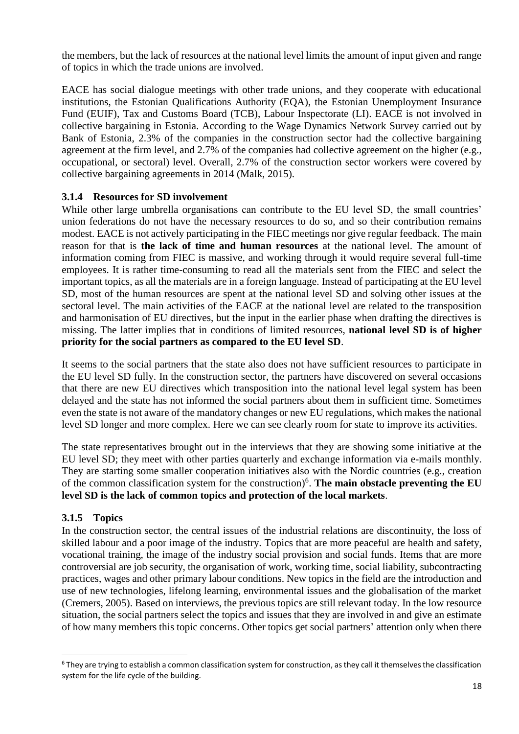the members, but the lack of resources at the national level limits the amount of input given and range of topics in which the trade unions are involved.

EACE has social dialogue meetings with other trade unions, and they cooperate with educational institutions, the Estonian Qualifications Authority (EQA), the Estonian Unemployment Insurance Fund (EUIF), Tax and Customs Board (TCB), Labour Inspectorate (LI). EACE is not involved in collective bargaining in Estonia. According to the Wage Dynamics Network Survey carried out by Bank of Estonia, 2.3% of the companies in the construction sector had the collective bargaining agreement at the firm level, and 2.7% of the companies had collective agreement on the higher (e.g., occupational, or sectoral) level. Overall, 2.7% of the construction sector workers were covered by collective bargaining agreements in 2014 (Malk, 2015).

#### <span id="page-17-0"></span>**3.1.4 Resources for SD involvement**

While other large umbrella organisations can contribute to the EU level SD, the small countries' union federations do not have the necessary resources to do so, and so their contribution remains modest. EACE is not actively participating in the FIEC meetings nor give regular feedback. The main reason for that is **the lack of time and human resources** at the national level. The amount of information coming from FIEC is massive, and working through it would require several full-time employees. It is rather time-consuming to read all the materials sent from the FIEC and select the important topics, as all the materials are in a foreign language. Instead of participating at the EU level SD, most of the human resources are spent at the national level SD and solving other issues at the sectoral level. The main activities of the EACE at the national level are related to the transposition and harmonisation of EU directives, but the input in the earlier phase when drafting the directives is missing. The latter implies that in conditions of limited resources, **national level SD is of higher priority for the social partners as compared to the EU level SD**.

It seems to the social partners that the state also does not have sufficient resources to participate in the EU level SD fully. In the construction sector, the partners have discovered on several occasions that there are new EU directives which transposition into the national level legal system has been delayed and the state has not informed the social partners about them in sufficient time. Sometimes even the state is not aware of the mandatory changes or new EU regulations, which makes the national level SD longer and more complex. Here we can see clearly room for state to improve its activities.

The state representatives brought out in the interviews that they are showing some initiative at the EU level SD; they meet with other parties quarterly and exchange information via e-mails monthly. They are starting some smaller cooperation initiatives also with the Nordic countries (e.g., creation of the common classification system for the construction) 6 . **The main obstacle preventing the EU level SD is the lack of common topics and protection of the local markets**.

## <span id="page-17-1"></span>**3.1.5 Topics**

 $\overline{a}$ 

In the construction sector, the central issues of the industrial relations are discontinuity, the loss of skilled labour and a poor image of the industry. Topics that are more peaceful are health and safety, vocational training, the image of the industry social provision and social funds. Items that are more controversial are job security, the organisation of work, working time, social liability, subcontracting practices, wages and other primary labour conditions. New topics in the field are the introduction and use of new technologies, lifelong learning, environmental issues and the globalisation of the market (Cremers, 2005). Based on interviews, the previous topics are still relevant today. In the low resource situation, the social partners select the topics and issues that they are involved in and give an estimate of how many members this topic concerns. Other topics get social partners' attention only when there

<sup>&</sup>lt;sup>6</sup> They are trying to establish a common classification system for construction, as they call it themselves the classification system for the life cycle of the building.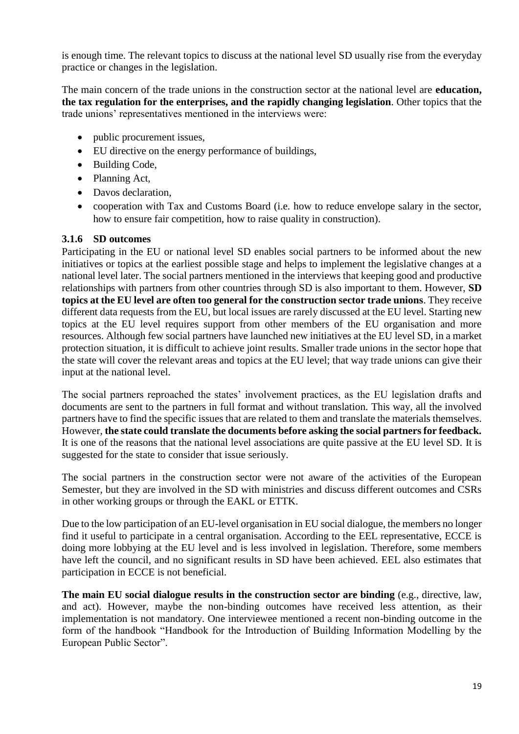is enough time. The relevant topics to discuss at the national level SD usually rise from the everyday practice or changes in the legislation.

The main concern of the trade unions in the construction sector at the national level are **education, the tax regulation for the enterprises, and the rapidly changing legislation**. Other topics that the trade unions' representatives mentioned in the interviews were:

- public procurement issues,
- EU directive on the energy performance of buildings,
- Building Code.
- Planning Act,
- Davos declaration,
- cooperation with Tax and Customs Board (i.e. how to reduce envelope salary in the sector, how to ensure fair competition, how to raise quality in construction).

#### <span id="page-18-0"></span>**3.1.6 SD outcomes**

Participating in the EU or national level SD enables social partners to be informed about the new initiatives or topics at the earliest possible stage and helps to implement the legislative changes at a national level later. The social partners mentioned in the interviews that keeping good and productive relationships with partners from other countries through SD is also important to them. However, **SD topics at the EU level are often too general for the construction sector trade unions**. They receive different data requests from the EU, but local issues are rarely discussed at the EU level. Starting new topics at the EU level requires support from other members of the EU organisation and more resources. Although few social partners have launched new initiatives at the EU level SD, in a market protection situation, it is difficult to achieve joint results. Smaller trade unions in the sector hope that the state will cover the relevant areas and topics at the EU level; that way trade unions can give their input at the national level.

The social partners reproached the states' involvement practices, as the EU legislation drafts and documents are sent to the partners in full format and without translation. This way, all the involved partners have to find the specific issues that are related to them and translate the materials themselves. However, **the state could translate the documents before asking the social partners for feedback.** It is one of the reasons that the national level associations are quite passive at the EU level SD. It is suggested for the state to consider that issue seriously.

The social partners in the construction sector were not aware of the activities of the European Semester, but they are involved in the SD with ministries and discuss different outcomes and CSRs in other working groups or through the EAKL or ETTK.

Due to the low participation of an EU-level organisation in EU social dialogue, the members no longer find it useful to participate in a central organisation. According to the EEL representative, ECCE is doing more lobbying at the EU level and is less involved in legislation. Therefore, some members have left the council, and no significant results in SD have been achieved. EEL also estimates that participation in ECCE is not beneficial.

**The main EU social dialogue results in the construction sector are binding** (e.g., directive, law, and act). However, maybe the non-binding outcomes have received less attention, as their implementation is not mandatory. One interviewee mentioned a recent non-binding outcome in the form of the handbook "Handbook for the Introduction of Building Information Modelling by the European Public Sector".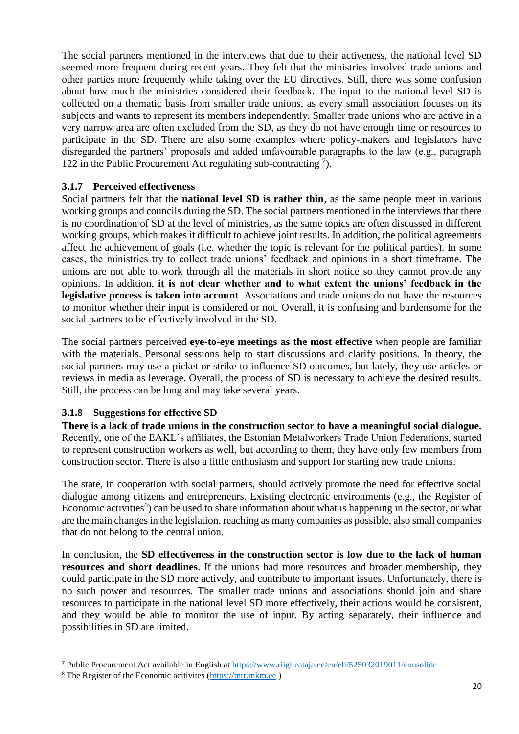The social partners mentioned in the interviews that due to their activeness, the national level SD seemed more frequent during recent years. They felt that the ministries involved trade unions and other parties more frequently while taking over the EU directives. Still, there was some confusion about how much the ministries considered their feedback. The input to the national level SD is collected on a thematic basis from smaller trade unions, as every small association focuses on its subjects and wants to represent its members independently. Smaller trade unions who are active in a very narrow area are often excluded from the SD, as they do not have enough time or resources to participate in the SD. There are also some examples where policy-makers and legislators have disregarded the partners' proposals and added unfavourable paragraphs to the law (e.g., paragraph 122 in the Public Procurement Act regulating sub-contracting  $\frac{7}{2}$ .

#### <span id="page-19-0"></span>**3.1.7 Perceived effectiveness**

Social partners felt that the **national level SD is rather thin**, as the same people meet in various working groups and councils during the SD. The social partners mentioned in the interviews that there is no coordination of SD at the level of ministries, as the same topics are often discussed in different working groups, which makes it difficult to achieve joint results. In addition, the political agreements affect the achievement of goals (i.e. whether the topic is relevant for the political parties). In some cases, the ministries try to collect trade unions' feedback and opinions in a short timeframe. The unions are not able to work through all the materials in short notice so they cannot provide any opinions. In addition, **it is not clear whether and to what extent the unions' feedback in the legislative process is taken into account**. Associations and trade unions do not have the resources to monitor whether their input is considered or not. Overall, it is confusing and burdensome for the social partners to be effectively involved in the SD.

The social partners perceived **eye-to-eye meetings as the most effective** when people are familiar with the materials. Personal sessions help to start discussions and clarify positions. In theory, the social partners may use a picket or strike to influence SD outcomes, but lately, they use articles or reviews in media as leverage. Overall, the process of SD is necessary to achieve the desired results. Still, the process can be long and may take several years.

## <span id="page-19-1"></span>**3.1.8 Suggestions for effective SD**

**There is a lack of trade unions in the construction sector to have a meaningful social dialogue.** Recently, one of the EAKL's affiliates, the Estonian Metalworkers Trade Union Federations, started to represent construction workers as well, but according to them, they have only few members from construction sector. There is also a little enthusiasm and support for starting new trade unions.

The state, in cooperation with social partners, should actively promote the need for effective social dialogue among citizens and entrepreneurs. Existing electronic environments (e.g., the Register of Economic activities<sup>8</sup>) can be used to share information about what is happening in the sector, or what are the main changes in the legislation, reaching as many companies as possible, also small companies that do not belong to the central union.

In conclusion, the **SD effectiveness in the construction sector is low due to the lack of human resources and short deadlines**. If the unions had more resources and broader membership, they could participate in the SD more actively, and contribute to important issues. Unfortunately, there is no such power and resources. The smaller trade unions and associations should join and share resources to participate in the national level SD more effectively, their actions would be consistent, and they would be able to monitor the use of input. By acting separately, their influence and possibilities in SD are limited.

 $\overline{a}$ 

<sup>7</sup> Public Procurement Act available in English at<https://www.riigiteataja.ee/en/eli/525032019011/consolide>

<sup>8</sup> The Register of the Economic acitivites [\(https://mtr.mkm.ee](https://mtr.mkm.ee/) )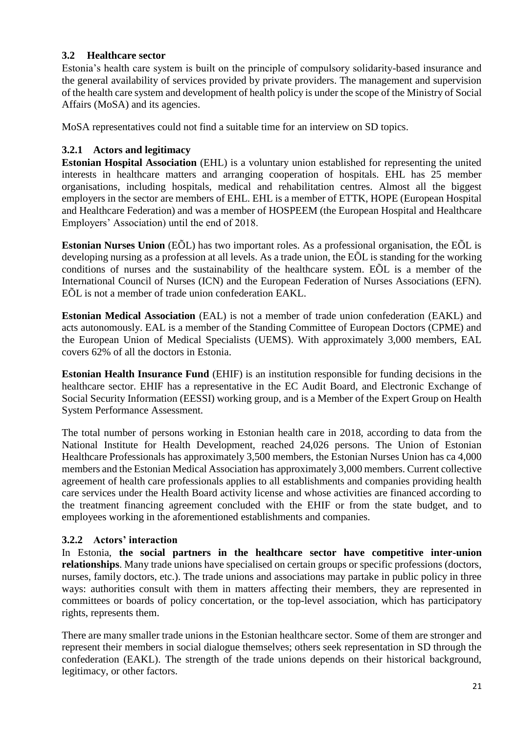## <span id="page-20-0"></span>**3.2 Healthcare sector**

Estonia's health care system is built on the principle of compulsory solidarity-based insurance and the general availability of services provided by private providers. The management and supervision of the health care system and development of health policy is under the scope of the Ministry of Social Affairs (MoSA) and its agencies.

MoSA representatives could not find a suitable time for an interview on SD topics.

## <span id="page-20-1"></span>**3.2.1 Actors and legitimacy**

**Estonian Hospital Association** (EHL) is a voluntary union established for representing the united interests in healthcare matters and arranging cooperation of hospitals. EHL has 25 member organisations, including hospitals, medical and rehabilitation centres. Almost all the biggest employers in the sector are members of EHL. EHL is a member of ETTK, HOPE (European Hospital and Healthcare Federation) and was a member of HOSPEEM (the European Hospital and Healthcare Employers' Association) until the end of 2018.

**Estonian Nurses Union** (EÕL) has two important roles. As a professional organisation, the EÕL is developing nursing as a profession at all levels. As a trade union, the EÕL is standing for the working conditions of nurses and the sustainability of the healthcare system. EÕL is a member of the International Council of Nurses (ICN) and the European Federation of Nurses Associations (EFN). EÕL is not a member of trade union confederation EAKL.

**Estonian Medical Association** (EAL) is not a member of trade union confederation (EAKL) and acts autonomously. EAL is a member of the Standing Committee of European Doctors (CPME) and the European Union of Medical Specialists (UEMS). With approximately 3,000 members, EAL covers 62% of all the doctors in Estonia.

**Estonian Health Insurance Fund** (EHIF) is an institution responsible for funding decisions in the healthcare sector. EHIF has a representative in the EC Audit Board, and Electronic Exchange of Social Security Information (EESSI) working group, and is a Member of the Expert Group on Health System Performance Assessment.

The total number of persons working in Estonian health care in 2018, according to data from the National Institute for Health Development, reached 24,026 persons. The Union of Estonian Healthcare Professionals has approximately 3,500 members, the Estonian Nurses Union has ca 4,000 members and the Estonian Medical Association has approximately 3,000 members. Current collective agreement of health care professionals applies to all establishments and companies providing health care services under the Health Board activity license and whose activities are financed according to the treatment financing agreement concluded with the EHIF or from the state budget, and to employees working in the aforementioned establishments and companies.

## <span id="page-20-2"></span>**3.2.2 Actors' interaction**

In Estonia, **the social partners in the healthcare sector have competitive inter-union relationships**. Many trade unions have specialised on certain groups or specific professions (doctors, nurses, family doctors, etc.). The trade unions and associations may partake in public policy in three ways: authorities consult with them in matters affecting their members, they are represented in committees or boards of policy concertation, or the top-level association, which has participatory rights, represents them.

There are many smaller trade unions in the Estonian healthcare sector. Some of them are stronger and represent their members in social dialogue themselves; others seek representation in SD through the confederation (EAKL). The strength of the trade unions depends on their historical background, legitimacy, or other factors.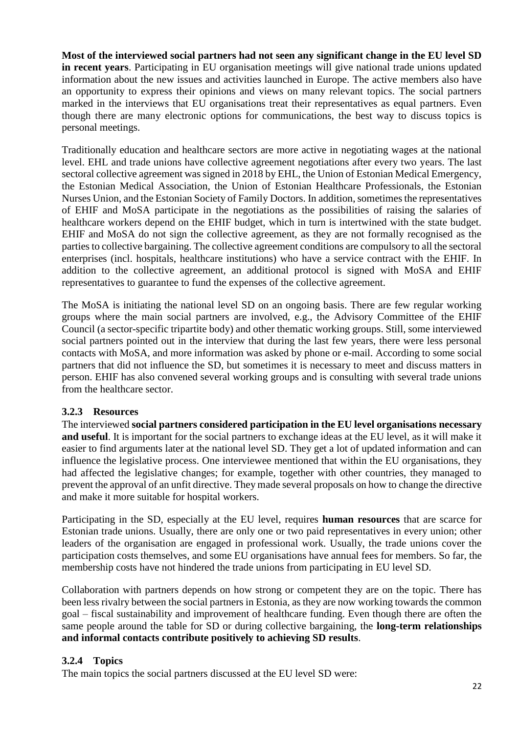**Most of the interviewed social partners had not seen any significant change in the EU level SD in recent years**. Participating in EU organisation meetings will give national trade unions updated information about the new issues and activities launched in Europe. The active members also have an opportunity to express their opinions and views on many relevant topics. The social partners marked in the interviews that EU organisations treat their representatives as equal partners. Even though there are many electronic options for communications, the best way to discuss topics is personal meetings.

Traditionally education and healthcare sectors are more active in negotiating wages at the national level. EHL and trade unions have collective agreement negotiations after every two years. The last sectoral collective agreement was signed in 2018 by EHL, the Union of Estonian Medical Emergency, the Estonian Medical Association, the Union of Estonian Healthcare Professionals, the Estonian Nurses Union, and the Estonian Society of Family Doctors. In addition, sometimes the representatives of EHIF and MoSA participate in the negotiations as the possibilities of raising the salaries of healthcare workers depend on the EHIF budget, which in turn is intertwined with the state budget. EHIF and MoSA do not sign the collective agreement, as they are not formally recognised as the parties to collective bargaining. The collective agreement conditions are compulsory to all the sectoral enterprises (incl. hospitals, healthcare institutions) who have a service contract with the EHIF. In addition to the collective agreement, an additional protocol is signed with MoSA and EHIF representatives to guarantee to fund the expenses of the collective agreement.

The MoSA is initiating the national level SD on an ongoing basis. There are few regular working groups where the main social partners are involved, e.g., the Advisory Committee of the EHIF Council (a sector-specific tripartite body) and other thematic working groups. Still, some interviewed social partners pointed out in the interview that during the last few years, there were less personal contacts with MoSA, and more information was asked by phone or e-mail. According to some social partners that did not influence the SD, but sometimes it is necessary to meet and discuss matters in person. EHIF has also convened several working groups and is consulting with several trade unions from the healthcare sector.

#### <span id="page-21-0"></span>**3.2.3 Resources**

The interviewed **social partners considered participation in the EU level organisations necessary and useful**. It is important for the social partners to exchange ideas at the EU level, as it will make it easier to find arguments later at the national level SD. They get a lot of updated information and can influence the legislative process. One interviewee mentioned that within the EU organisations, they had affected the legislative changes; for example, together with other countries, they managed to prevent the approval of an unfit directive. They made several proposals on how to change the directive and make it more suitable for hospital workers.

Participating in the SD, especially at the EU level, requires **human resources** that are scarce for Estonian trade unions. Usually, there are only one or two paid representatives in every union; other leaders of the organisation are engaged in professional work. Usually, the trade unions cover the participation costs themselves, and some EU organisations have annual fees for members. So far, the membership costs have not hindered the trade unions from participating in EU level SD.

Collaboration with partners depends on how strong or competent they are on the topic. There has been less rivalry between the social partners in Estonia, as they are now working towards the common goal – fiscal sustainability and improvement of healthcare funding. Even though there are often the same people around the table for SD or during collective bargaining, the **long-term relationships and informal contacts contribute positively to achieving SD results**.

## <span id="page-21-1"></span>**3.2.4 Topics**

The main topics the social partners discussed at the EU level SD were: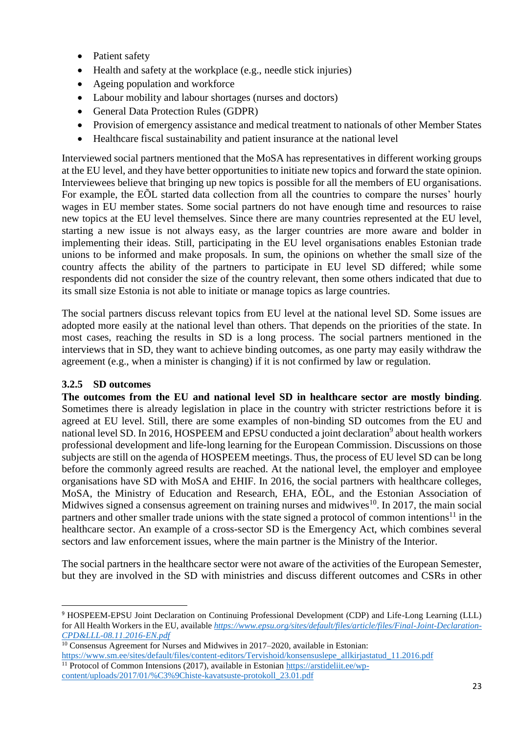- Patient safety
- Health and safety at the workplace (e.g., needle stick injuries)
- Ageing population and workforce
- Labour mobility and labour shortages (nurses and doctors)
- General Data Protection Rules (GDPR)
- Provision of emergency assistance and medical treatment to nationals of other Member States
- Healthcare fiscal sustainability and patient insurance at the national level

Interviewed social partners mentioned that the MoSA has representatives in different working groups at the EU level, and they have better opportunities to initiate new topics and forward the state opinion. Interviewees believe that bringing up new topics is possible for all the members of EU organisations. For example, the EÕL started data collection from all the countries to compare the nurses' hourly wages in EU member states. Some social partners do not have enough time and resources to raise new topics at the EU level themselves. Since there are many countries represented at the EU level, starting a new issue is not always easy, as the larger countries are more aware and bolder in implementing their ideas. Still, participating in the EU level organisations enables Estonian trade unions to be informed and make proposals. In sum, the opinions on whether the small size of the country affects the ability of the partners to participate in EU level SD differed; while some respondents did not consider the size of the country relevant, then some others indicated that due to its small size Estonia is not able to initiate or manage topics as large countries.

The social partners discuss relevant topics from EU level at the national level SD. Some issues are adopted more easily at the national level than others. That depends on the priorities of the state. In most cases, reaching the results in SD is a long process. The social partners mentioned in the interviews that in SD, they want to achieve binding outcomes, as one party may easily withdraw the agreement (e.g., when a minister is changing) if it is not confirmed by law or regulation.

## <span id="page-22-0"></span>**3.2.5 SD outcomes**

 $\overline{a}$ 

**The outcomes from the EU and national level SD in healthcare sector are mostly binding**. Sometimes there is already legislation in place in the country with stricter restrictions before it is agreed at EU level. Still, there are some examples of non-binding SD outcomes from the EU and national level SD. In 2016, HOSPEEM and EPSU conducted a joint declaration<sup>9</sup> about health workers professional development and life-long learning for the European Commission. Discussions on those subjects are still on the agenda of HOSPEEM meetings. Thus, the process of EU level SD can be long before the commonly agreed results are reached. At the national level, the employer and employee organisations have SD with MoSA and EHIF. In 2016, the social partners with healthcare colleges, MoSA, the Ministry of Education and Research, EHA, EÕL, and the Estonian Association of Midwives signed a consensus agreement on training nurses and midwives<sup>10</sup>. In 2017, the main social partners and other smaller trade unions with the state signed a protocol of common intentions<sup>11</sup> in the healthcare sector. An example of a cross-sector SD is the Emergency Act, which combines several sectors and law enforcement issues, where the main partner is the Ministry of the Interior.

The social partners in the healthcare sector were not aware of the activities of the European Semester, but they are involved in the SD with ministries and discuss different outcomes and CSRs in other

```
content/uploads/2017/01/%C3%9Chiste-kavatsuste-protokoll_23.01.pdf
```
<sup>9</sup> HOSPEEM-EPSU Joint Declaration on Continuing Professional Development (CDP) and Life-Long Learning (LLL) for All Health Workers in the EU, available *[https://www.epsu.org/sites/default/files/article/files/Final-Joint-Declaration-](https://www.epsu.org/sites/default/files/article/files/Final-Joint-Declaration-CPD&LLL-08.11.2016-EN.pdf)[CPD&LLL-08.11.2016-EN.pdf](https://www.epsu.org/sites/default/files/article/files/Final-Joint-Declaration-CPD&LLL-08.11.2016-EN.pdf)* 

<sup>&</sup>lt;sup>10</sup> Consensus Agreement for Nurses and Midwives in 2017–2020, available in Estonian:

[https://www.sm.ee/sites/default/files/content-editors/Tervishoid/konsensuslepe\\_allkirjastatud\\_11.2016.pdf](https://www.sm.ee/sites/default/files/content-editors/Tervishoid/konsensuslepe_allkirjastatud_11.2016.pdf) <sup>11</sup> Protocol of Common Intensions (2017), available in Estonian [https://arstideliit.ee/wp-](https://arstideliit.ee/wp-content/uploads/2017/01/%C3%9Chiste-kavatsuste-protokoll_23.01.pdf)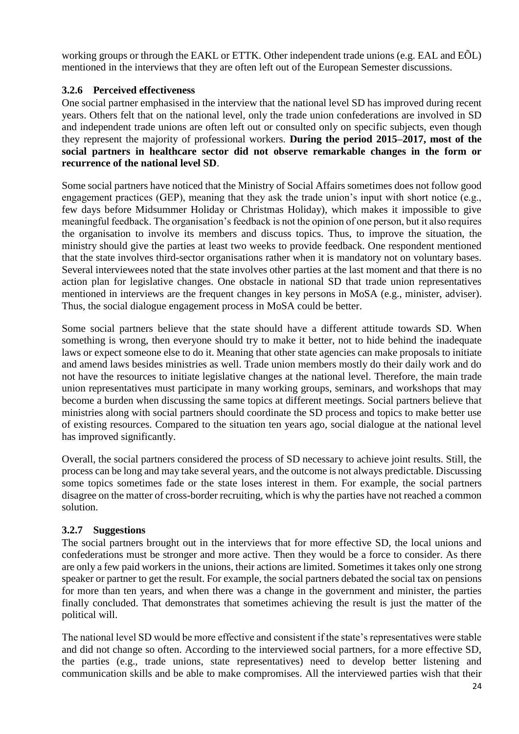working groups or through the EAKL or ETTK. Other independent trade unions (e.g. EAL and EÕL) mentioned in the interviews that they are often left out of the European Semester discussions.

## <span id="page-23-0"></span>**3.2.6 Perceived effectiveness**

One social partner emphasised in the interview that the national level SD has improved during recent years. Others felt that on the national level, only the trade union confederations are involved in SD and independent trade unions are often left out or consulted only on specific subjects, even though they represent the majority of professional workers. **During the period 2015–2017, most of the social partners in healthcare sector did not observe remarkable changes in the form or recurrence of the national level SD**.

Some social partners have noticed that the Ministry of Social Affairs sometimes does not follow good engagement practices (GEP), meaning that they ask the trade union's input with short notice (e.g., few days before Midsummer Holiday or Christmas Holiday), which makes it impossible to give meaningful feedback. The organisation's feedback is not the opinion of one person, but it also requires the organisation to involve its members and discuss topics. Thus, to improve the situation, the ministry should give the parties at least two weeks to provide feedback. One respondent mentioned that the state involves third-sector organisations rather when it is mandatory not on voluntary bases. Several interviewees noted that the state involves other parties at the last moment and that there is no action plan for legislative changes. One obstacle in national SD that trade union representatives mentioned in interviews are the frequent changes in key persons in MoSA (e.g., minister, adviser). Thus, the social dialogue engagement process in MoSA could be better.

Some social partners believe that the state should have a different attitude towards SD. When something is wrong, then everyone should try to make it better, not to hide behind the inadequate laws or expect someone else to do it. Meaning that other state agencies can make proposals to initiate and amend laws besides ministries as well. Trade union members mostly do their daily work and do not have the resources to initiate legislative changes at the national level. Therefore, the main trade union representatives must participate in many working groups, seminars, and workshops that may become a burden when discussing the same topics at different meetings. Social partners believe that ministries along with social partners should coordinate the SD process and topics to make better use of existing resources. Compared to the situation ten years ago, social dialogue at the national level has improved significantly.

Overall, the social partners considered the process of SD necessary to achieve joint results. Still, the process can be long and may take several years, and the outcome is not always predictable. Discussing some topics sometimes fade or the state loses interest in them. For example, the social partners disagree on the matter of cross-border recruiting, which is why the parties have not reached a common solution.

#### <span id="page-23-1"></span>**3.2.7 Suggestions**

The social partners brought out in the interviews that for more effective SD, the local unions and confederations must be stronger and more active. Then they would be a force to consider. As there are only a few paid workers in the unions, their actions are limited. Sometimes it takes only one strong speaker or partner to get the result. For example, the social partners debated the social tax on pensions for more than ten years, and when there was a change in the government and minister, the parties finally concluded. That demonstrates that sometimes achieving the result is just the matter of the political will.

The national level SD would be more effective and consistent if the state's representatives were stable and did not change so often. According to the interviewed social partners, for a more effective SD, the parties (e.g., trade unions, state representatives) need to develop better listening and communication skills and be able to make compromises. All the interviewed parties wish that their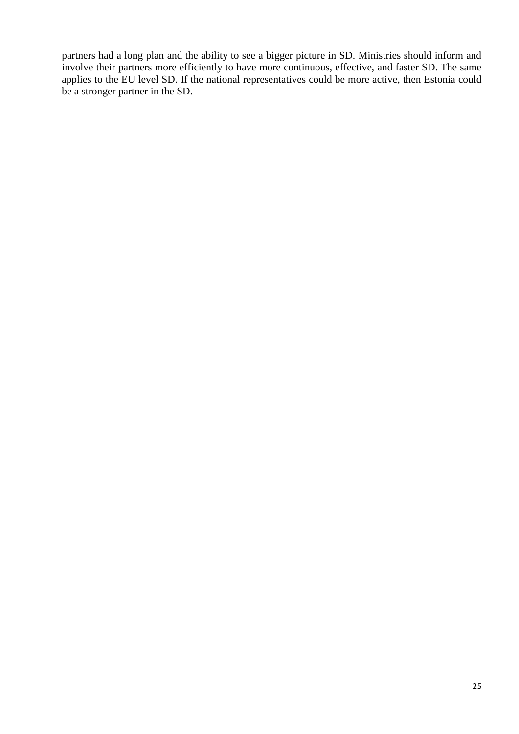partners had a long plan and the ability to see a bigger picture in SD. Ministries should inform and involve their partners more efficiently to have more continuous, effective, and faster SD. The same applies to the EU level SD. If the national representatives could be more active, then Estonia could be a stronger partner in the SD.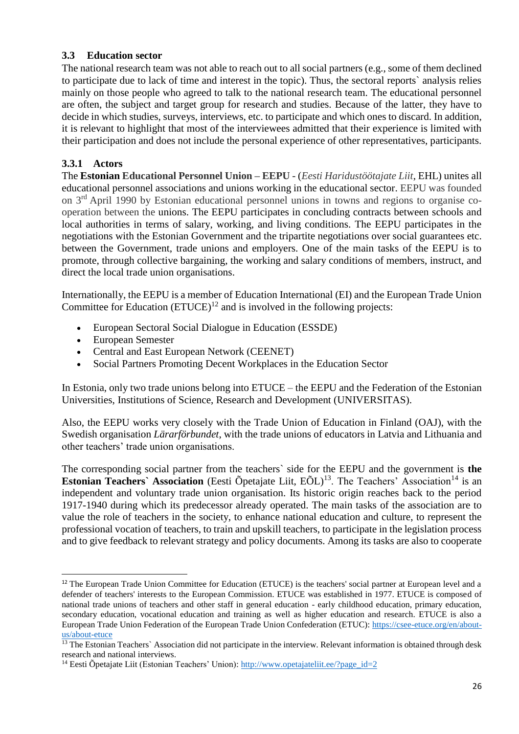## <span id="page-25-0"></span>**3.3 Education sector**

The national research team was not able to reach out to all social partners (e.g., some of them declined to participate due to lack of time and interest in the topic). Thus, the sectoral reports` analysis relies mainly on those people who agreed to talk to the national research team. The educational personnel are often, the subject and target group for research and studies. Because of the latter, they have to decide in which studies, surveys, interviews, etc. to participate and which ones to discard. In addition, it is relevant to highlight that most of the interviewees admitted that their experience is limited with their participation and does not include the personal experience of other representatives, participants.

## <span id="page-25-1"></span>**3.3.1 Actors**

The **Estonian Educational Personnel Union – EEPU -** (*Eesti Haridustöötajate Liit*, EHL) unites all educational personnel associations and unions working in the educational sector. EEPU was founded on 3rd April 1990 by Estonian educational personnel unions in towns and regions to organise cooperation between the unions. The EEPU participates in concluding contracts between schools and local authorities in terms of salary, working, and living conditions. The EEPU participates in the negotiations with the Estonian Government and the tripartite negotiations over social guarantees etc. between the Government, trade unions and employers. One of the main tasks of the EEPU is to promote, through collective bargaining, the working and salary conditions of members, instruct, and direct the local trade union organisations.

Internationally, the EEPU is a member of Education International (EI) and the European Trade Union Committee for Education  $(ETUCE)^{12}$  and is involved in the following projects:

- European Sectoral Social Dialogue in Education (ESSDE)
- European Semester

 $\overline{a}$ 

- Central and East European Network (CEENET)
- Social Partners Promoting Decent Workplaces in the Education Sector

In Estonia, only two trade unions belong into ETUCE – the EEPU and the Federation of the Estonian Universities, Institutions of Science, Research and Development (UNIVERSITAS).

Also, the EEPU works very closely with the Trade Union of Education in Finland (OAJ), with the Swedish organisation *Lärarförbundet*, with the trade unions of educators in Latvia and Lithuania and other teachers' trade union organisations.

The corresponding social partner from the teachers` side for the EEPU and the government is **the Estonian Teachers' Association** (Eesti Õpetajate Liit,  $E\tilde{O}L$ )<sup>13</sup>. The Teachers' Association<sup>14</sup> is an independent and voluntary trade union organisation. Its historic origin reaches back to the period 1917-1940 during which its predecessor already operated. The main tasks of the association are to value the role of teachers in the society, to enhance national education and culture, to represent the professional vocation of teachers, to train and upskill teachers, to participate in the legislation process and to give feedback to relevant strategy and policy documents. Among its tasks are also to cooperate

<sup>&</sup>lt;sup>12</sup> The European Trade Union Committee for Education (ETUCE) is the teachers' social partner at European level and a defender of teachers' interests to the European Commission. ETUCE was established in 1977. ETUCE is composed of national trade unions of teachers and other staff in general education - early childhood education, primary education, secondary education, vocational education and training as well as higher education and research. ETUCE is also a European Trade Union Federation of the European Trade Union Confederation (ETUC): [https://csee-etuce.org/en/about](https://csee-etuce.org/en/about-us/about-etuce)[us/about-etuce](https://csee-etuce.org/en/about-us/about-etuce)

<sup>&</sup>lt;sup>13</sup> The Estonian Teachers` Association did not participate in the interview. Relevant information is obtained through desk research and national interviews.

<sup>&</sup>lt;sup>14</sup> Eesti Õpetajate Liit (Estonian Teachers' Union): [http://www.opetajateliit.ee/?page\\_id=2](http://www.opetajateliit.ee/?page_id=2)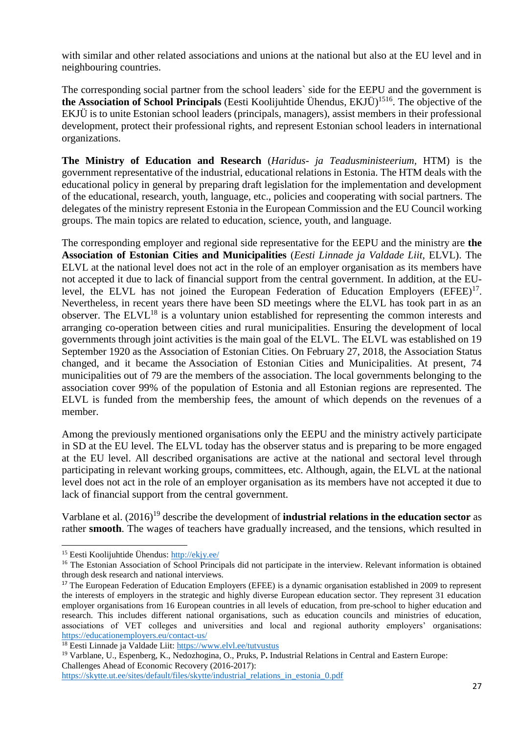with similar and other related associations and unions at the national but also at the EU level and in neighbouring countries.

The corresponding social partner from the school leaders` side for the EEPU and the government is **the Association of School Principals** (Eesti Koolijuhtide Ühendus, EKJÜ)<sup>1516</sup>. The objective of the EKJÜ is to unite Estonian school leaders (principals, managers), assist members in their professional development, protect their professional rights, and represent Estonian school leaders in international organizations.

**The Ministry of Education and Research** (*Haridus- ja Teadusministeerium,* HTM) is the government representative of the industrial, educational relations in Estonia. The HTM deals with the educational policy in general by preparing draft legislation for the implementation and development of the educational, research, youth, language, etc., policies and cooperating with social partners. The delegates of the ministry represent Estonia in the European Commission and the EU Council working groups. The main topics are related to education, science, youth, and language.

The corresponding employer and regional side representative for the EEPU and the ministry are **the Association of Estonian Cities and Municipalities** (*Eesti Linnade ja Valdade Liit*, ELVL). The ELVL at the national level does not act in the role of an employer organisation as its members have not accepted it due to lack of financial support from the central government. In addition, at the EUlevel, the ELVL has not joined the European Federation of Education Employers (EFEE)<sup>17</sup>. Nevertheless, in recent years there have been SD meetings where the ELVL has took part in as an observer. The ELVL<sup>18</sup> is a voluntary union established for representing the common interests and arranging co-operation between cities and rural municipalities. Ensuring the development of local governments through joint activities is the main goal of the ELVL. The ELVL was established on 19 September 1920 as the Association of Estonian Cities. On February 27, 2018, the Association Status changed, and it became the Association of Estonian Cities and Municipalities. At present, 74 municipalities out of 79 are the members of the association. The local governments belonging to the association cover 99% of the population of Estonia and all Estonian regions are represented. The ELVL is funded from the membership fees, the amount of which depends on the revenues of a member.

Among the previously mentioned organisations only the EEPU and the ministry actively participate in SD at the EU level. The ELVL today has the observer status and is preparing to be more engaged at the EU level. All described organisations are active at the national and sectoral level through participating in relevant working groups, committees, etc. Although, again, the ELVL at the national level does not act in the role of an employer organisation as its members have not accepted it due to lack of financial support from the central government.

Varblane et al. (2016)<sup>19</sup> describe the development of **industrial relations in the education sector** as rather **smooth**. The wages of teachers have gradually increased, and the tensions, which resulted in

 $\overline{a}$ 

<sup>15</sup> Eesti Koolijuhtide Ühendus:<http://ekjy.ee/>

<sup>&</sup>lt;sup>16</sup> The Estonian Association of School Principals did not participate in the interview. Relevant information is obtained through desk research and national interviews.

<sup>&</sup>lt;sup>17</sup> The European Federation of Education Employers (EFEE) is a dynamic organisation established in 2009 to represent the interests of employers in the strategic and highly diverse European education sector. They represent 31 education employer organisations from 16 European countries in all levels of education, from pre-school to higher education and research. This includes different national organisations, such as education councils and ministries of education, associations of VET colleges and universities and local and regional authority employers' organisations: <https://educationemployers.eu/contact-us/>

<sup>18</sup> Eesti Linnade ja Valdade Liit:<https://www.elvl.ee/tutvustus>

<sup>19</sup> Varblane, U., Espenberg, K., Nedozhogina, O., Pruks, P**.** Industrial Relations in Central and Eastern Europe: Challenges Ahead of Economic Recovery (2016-2017):

[https://skytte.ut.ee/sites/default/files/skytte/industrial\\_relations\\_in\\_estonia\\_0.pdf](https://skytte.ut.ee/sites/default/files/skytte/industrial_relations_in_estonia_0.pdf)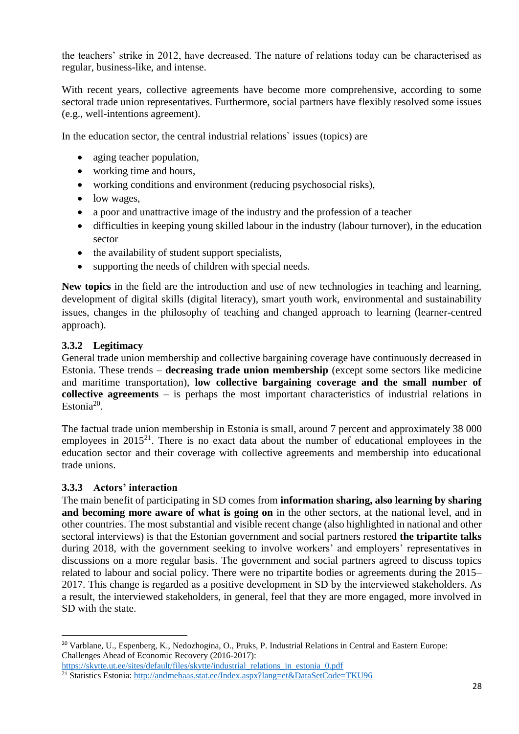the teachers' strike in 2012, have decreased. The nature of relations today can be characterised as regular, business-like, and intense.

With recent years, collective agreements have become more comprehensive, according to some sectoral trade union representatives. Furthermore, social partners have flexibly resolved some issues (e.g., well-intentions agreement).

In the education sector, the central industrial relations` issues (topics) are

- aging teacher population,
- working time and hours,
- working conditions and environment (reducing psychosocial risks),
- low wages,
- a poor and unattractive image of the industry and the profession of a teacher
- difficulties in keeping young skilled labour in the industry (labour turnover), in the education sector
- the availability of student support specialists,
- supporting the needs of children with special needs.

**New topics** in the field are the introduction and use of new technologies in teaching and learning, development of digital skills (digital literacy), smart youth work, environmental and sustainability issues, changes in the philosophy of teaching and changed approach to learning (learner-centred approach).

#### <span id="page-27-0"></span>**3.3.2 Legitimacy**

General trade union membership and collective bargaining coverage have continuously decreased in Estonia. These trends – **decreasing trade union membership** (except some sectors like medicine and maritime transportation), **low collective bargaining coverage and the small number of collective agreements** – is perhaps the most important characteristics of industrial relations in Estonia<sup>20</sup>.

The factual trade union membership in Estonia is small, around 7 percent and approximately 38 000 employees in  $2015^{21}$ . There is no exact data about the number of educational employees in the education sector and their coverage with collective agreements and membership into educational trade unions.

#### <span id="page-27-1"></span>**3.3.3 Actors' interaction**

 $\overline{a}$ 

The main benefit of participating in SD comes from **information sharing, also learning by sharing and becoming more aware of what is going on** in the other sectors, at the national level, and in other countries. The most substantial and visible recent change (also highlighted in national and other sectoral interviews) is that the Estonian government and social partners restored **the tripartite talks** during 2018, with the government seeking to involve workers' and employers' representatives in discussions on a more regular basis. The government and social partners agreed to discuss topics related to labour and social policy. There were no tripartite bodies or agreements during the 2015– 2017. This change is regarded as a positive development in SD by the interviewed stakeholders. As a result, the interviewed stakeholders, in general, feel that they are more engaged, more involved in SD with the state.

<sup>20</sup> Varblane, U., Espenberg, K., Nedozhogina, O., Pruks, P. Industrial Relations in Central and Eastern Europe: Challenges Ahead of Economic Recovery (2016-2017):

[https://skytte.ut.ee/sites/default/files/skytte/industrial\\_relations\\_in\\_estonia\\_0.pdf](https://skytte.ut.ee/sites/default/files/skytte/industrial_relations_in_estonia_0.pdf)

<sup>21</sup> Statistics Estonia:<http://andmebaas.stat.ee/Index.aspx?lang=et&DataSetCode=TKU96>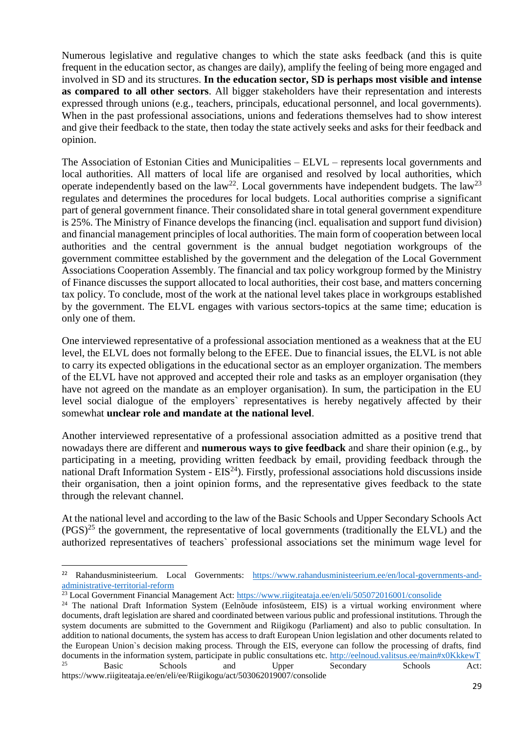Numerous legislative and regulative changes to which the state asks feedback (and this is quite frequent in the education sector, as changes are daily), amplify the feeling of being more engaged and involved in SD and its structures. **In the education sector, SD is perhaps most visible and intense as compared to all other sectors**. All bigger stakeholders have their representation and interests expressed through unions (e.g., teachers, principals, educational personnel, and local governments). When in the past professional associations, unions and federations themselves had to show interest and give their feedback to the state, then today the state actively seeks and asks for their feedback and opinion.

The Association of Estonian Cities and Municipalities – ELVL – represents local governments and local authorities. All matters of local life are organised and resolved by local authorities, which operate independently based on the law<sup>22</sup>. Local governments have independent budgets. The law<sup>23</sup> regulates and determines the procedures for local budgets. Local authorities comprise a significant part of general government finance. Their consolidated share in total general government expenditure is 25%. The Ministry of Finance develops the financing (incl. equalisation and support fund division) and financial management principles of local authorities. The main form of cooperation between local authorities and the central government is the annual budget negotiation workgroups of the government committee established by the government and the delegation of the Local Government Associations Cooperation Assembly. The financial and tax policy workgroup formed by the Ministry of Finance discusses the support allocated to local authorities, their cost base, and matters concerning tax policy. To conclude, most of the work at the national level takes place in workgroups established by the government. The ELVL engages with various sectors-topics at the same time; education is only one of them.

One interviewed representative of a professional association mentioned as a weakness that at the EU level, the ELVL does not formally belong to the EFEE. Due to financial issues, the ELVL is not able to carry its expected obligations in the educational sector as an employer organization. The members of the ELVL have not approved and accepted their role and tasks as an employer organisation (they have not agreed on the mandate as an employer organisation). In sum, the participation in the EU level social dialogue of the employers` representatives is hereby negatively affected by their somewhat **unclear role and mandate at the national level**.

Another interviewed representative of a professional association admitted as a positive trend that nowadays there are different and **numerous ways to give feedback** and share their opinion (e.g., by participating in a meeting, providing written feedback by email, providing feedback through the national Draft Information System -  $EIS<sup>24</sup>$ ). Firstly, professional associations hold discussions inside their organisation, then a joint opinion forms, and the representative gives feedback to the state through the relevant channel.

At the national level and according to the law of the Basic Schools and Upper Secondary Schools Act  $(PGS)^{25}$  the government, the representative of local governments (traditionally the ELVL) and the authorized representatives of teachers` professional associations set the minimum wage level for

 $\overline{a}$ 

<sup>&</sup>lt;sup>22</sup> Rahandusministeerium. Local Governments: [https://www.rahandusministeerium.ee/en/local-governments-and](https://www.rahandusministeerium.ee/en/local-governments-and-administrative-territorial-reform)[administrative-territorial-reform](https://www.rahandusministeerium.ee/en/local-governments-and-administrative-territorial-reform)

<sup>&</sup>lt;sup>23</sup> Local Government Financial Management Act:<https://www.riigiteataja.ee/en/eli/505072016001/consolide>

<sup>&</sup>lt;sup>24</sup> The national Draft Information System (Eelnõude infosüsteem, EIS) is a virtual working environment where documents, draft legislation are shared and coordinated between various public and professional institutions. Through the system documents are submitted to the Government and Riigikogu (Parliament) and also to public consultation. In addition to national documents, the system has access to draft European Union legislation and other documents related to the European Union`s decision making process. Through the EIS, everyone can follow the processing of drafts, find documents in the information system, participate in public consultations etc.<http://eelnoud.valitsus.ee/main#x0KkkewT> <sup>25</sup> Basic Schools and Upper Secondary Schools Act: https://www.riigiteataja.ee/en/eli/ee/Riigikogu/act/503062019007/consolide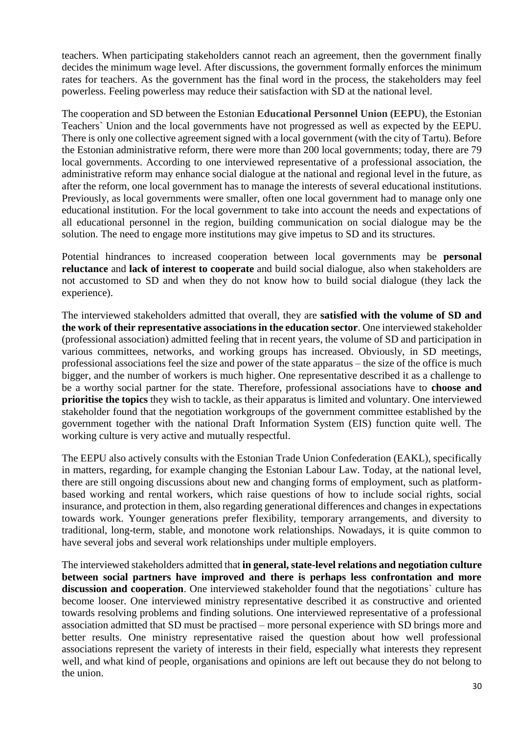teachers. When participating stakeholders cannot reach an agreement, then the government finally decides the minimum wage level. After discussions, the government formally enforces the minimum rates for teachers. As the government has the final word in the process, the stakeholders may feel powerless. Feeling powerless may reduce their satisfaction with SD at the national level.

The cooperation and SD between the Estonian **Educational Personnel Union (EEPU)**, the Estonian Teachers` Union and the local governments have not progressed as well as expected by the EEPU. There is only one collective agreement signed with a local government (with the city of Tartu). Before the Estonian administrative reform, there were more than 200 local governments; today, there are 79 local governments. According to one interviewed representative of a professional association, the administrative reform may enhance social dialogue at the national and regional level in the future, as after the reform, one local government has to manage the interests of several educational institutions. Previously, as local governments were smaller, often one local government had to manage only one educational institution. For the local government to take into account the needs and expectations of all educational personnel in the region, building communication on social dialogue may be the solution. The need to engage more institutions may give impetus to SD and its structures.

Potential hindrances to increased cooperation between local governments may be **personal reluctance** and **lack of interest to cooperate** and build social dialogue, also when stakeholders are not accustomed to SD and when they do not know how to build social dialogue (they lack the experience).

The interviewed stakeholders admitted that overall, they are **satisfied with the volume of SD and the work of their representative associations in the education sector**. One interviewed stakeholder (professional association) admitted feeling that in recent years, the volume of SD and participation in various committees, networks, and working groups has increased. Obviously, in SD meetings, professional associations feel the size and power of the state apparatus – the size of the office is much bigger, and the number of workers is much higher. One representative described it as a challenge to be a worthy social partner for the state. Therefore, professional associations have to **choose and prioritise the topics** they wish to tackle, as their apparatus is limited and voluntary. One interviewed stakeholder found that the negotiation workgroups of the government committee established by the government together with the national Draft Information System (EIS) function quite well. The working culture is very active and mutually respectful.

The EEPU also actively consults with the Estonian Trade Union Confederation (EAKL), specifically in matters, regarding, for example changing the Estonian Labour Law. Today, at the national level, there are still ongoing discussions about new and changing forms of employment, such as platformbased working and rental workers, which raise questions of how to include social rights, social insurance, and protection in them, also regarding generational differences and changes in expectations towards work. Younger generations prefer flexibility, temporary arrangements, and diversity to traditional, long-term, stable, and monotone work relationships. Nowadays, it is quite common to have several jobs and several work relationships under multiple employers.

The interviewed stakeholders admitted that **in general, state-level relations and negotiation culture between social partners have improved and there is perhaps less confrontation and more discussion and cooperation**. One interviewed stakeholder found that the negotiations` culture has become looser. One interviewed ministry representative described it as constructive and oriented towards resolving problems and finding solutions. One interviewed representative of a professional association admitted that SD must be practised – more personal experience with SD brings more and better results. One ministry representative raised the question about how well professional associations represent the variety of interests in their field, especially what interests they represent well, and what kind of people, organisations and opinions are left out because they do not belong to the union.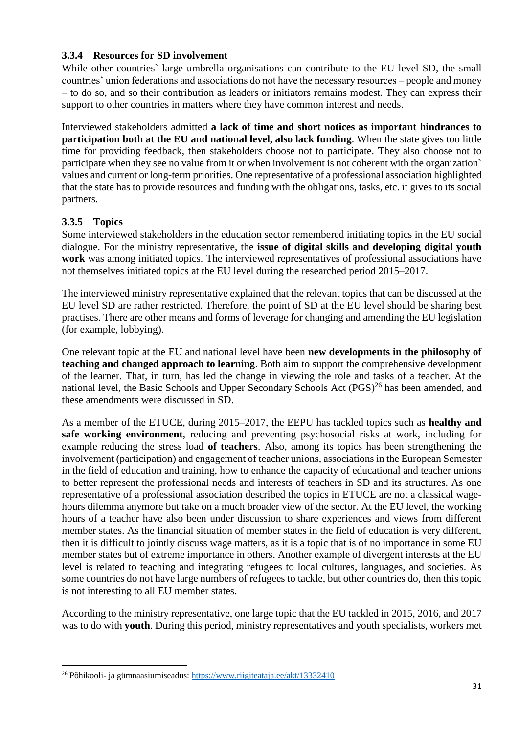#### <span id="page-30-0"></span>**3.3.4 Resources for SD involvement**

While other countries` large umbrella organisations can contribute to the EU level SD, the small countries' union federations and associations do not have the necessary resources – people and money – to do so, and so their contribution as leaders or initiators remains modest. They can express their support to other countries in matters where they have common interest and needs.

Interviewed stakeholders admitted **a lack of time and short notices as important hindrances to participation both at the EU and national level, also lack funding**. When the state gives too little time for providing feedback, then stakeholders choose not to participate. They also choose not to participate when they see no value from it or when involvement is not coherent with the organization` values and current or long-term priorities. One representative of a professional association highlighted that the state has to provide resources and funding with the obligations, tasks, etc. it gives to its social partners.

## <span id="page-30-1"></span>**3.3.5 Topics**

 $\overline{a}$ 

Some interviewed stakeholders in the education sector remembered initiating topics in the EU social dialogue. For the ministry representative, the **issue of digital skills and developing digital youth work** was among initiated topics. The interviewed representatives of professional associations have not themselves initiated topics at the EU level during the researched period 2015–2017.

The interviewed ministry representative explained that the relevant topics that can be discussed at the EU level SD are rather restricted. Therefore, the point of SD at the EU level should be sharing best practises. There are other means and forms of leverage for changing and amending the EU legislation (for example, lobbying).

One relevant topic at the EU and national level have been **new developments in the philosophy of teaching and changed approach to learning**. Both aim to support the comprehensive development of the learner. That, in turn, has led the change in viewing the role and tasks of a teacher. At the national level, the Basic Schools and Upper Secondary Schools Act (PGS)<sup>26</sup> has been amended, and these amendments were discussed in SD.

As a member of the ETUCE, during 2015–2017, the EEPU has tackled topics such as **healthy and safe working environment**, reducing and preventing psychosocial risks at work, including for example reducing the stress load **of teachers**. Also, among its topics has been strengthening the involvement (participation) and engagement of teacher unions, associations in the European Semester in the field of education and training, how to enhance the capacity of educational and teacher unions to better represent the professional needs and interests of teachers in SD and its structures. As one representative of a professional association described the topics in ETUCE are not a classical wagehours dilemma anymore but take on a much broader view of the sector. At the EU level, the working hours of a teacher have also been under discussion to share experiences and views from different member states. As the financial situation of member states in the field of education is very different, then it is difficult to jointly discuss wage matters, as it is a topic that is of no importance in some EU member states but of extreme importance in others. Another example of divergent interests at the EU level is related to teaching and integrating refugees to local cultures, languages, and societies. As some countries do not have large numbers of refugees to tackle, but other countries do, then this topic is not interesting to all EU member states.

According to the ministry representative, one large topic that the EU tackled in 2015, 2016, and 2017 was to do with **youth**. During this period, ministry representatives and youth specialists, workers met

<sup>&</sup>lt;sup>26</sup> Põhikooli- ja gümnaasiumiseadus:<https://www.riigiteataja.ee/akt/13332410>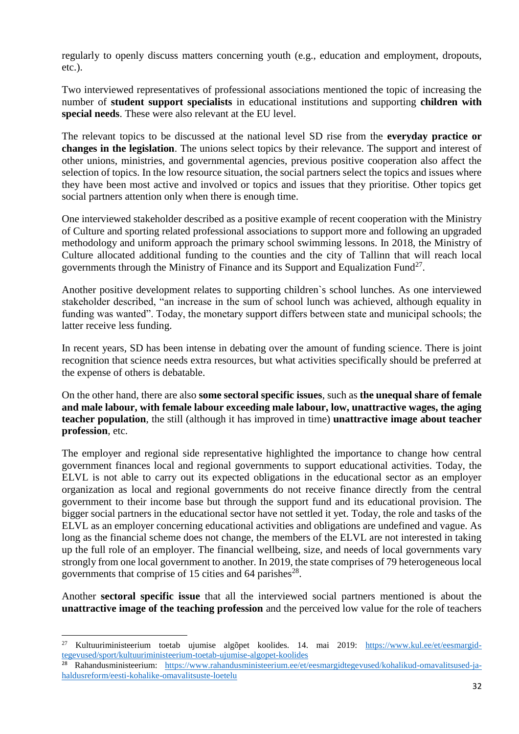regularly to openly discuss matters concerning youth (e.g., education and employment, dropouts, etc.).

Two interviewed representatives of professional associations mentioned the topic of increasing the number of **student support specialists** in educational institutions and supporting **children with special needs**. These were also relevant at the EU level.

The relevant topics to be discussed at the national level SD rise from the **everyday practice or changes in the legislation**. The unions select topics by their relevance. The support and interest of other unions, ministries, and governmental agencies, previous positive cooperation also affect the selection of topics. In the low resource situation, the social partners select the topics and issues where they have been most active and involved or topics and issues that they prioritise. Other topics get social partners attention only when there is enough time.

One interviewed stakeholder described as a positive example of recent cooperation with the Ministry of Culture and sporting related professional associations to support more and following an upgraded methodology and uniform approach the primary school swimming lessons. In 2018, the Ministry of Culture allocated additional funding to the counties and the city of Tallinn that will reach local governments through the Ministry of Finance and its Support and Equalization Fund<sup>27</sup>.

Another positive development relates to supporting children`s school lunches. As one interviewed stakeholder described, "an increase in the sum of school lunch was achieved, although equality in funding was wanted". Today, the monetary support differs between state and municipal schools; the latter receive less funding.

In recent years, SD has been intense in debating over the amount of funding science. There is joint recognition that science needs extra resources, but what activities specifically should be preferred at the expense of others is debatable.

On the other hand, there are also **some sectoral specific issues**, such as **the unequal share of female and male labour, with female labour exceeding male labour, low, unattractive wages, the aging teacher population**, the still (although it has improved in time) **unattractive image about teacher profession**, etc.

The employer and regional side representative highlighted the importance to change how central government finances local and regional governments to support educational activities. Today, the ELVL is not able to carry out its expected obligations in the educational sector as an employer organization as local and regional governments do not receive finance directly from the central government to their income base but through the support fund and its educational provision. The bigger social partners in the educational sector have not settled it yet. Today, the role and tasks of the ELVL as an employer concerning educational activities and obligations are undefined and vague. As long as the financial scheme does not change, the members of the ELVL are not interested in taking up the full role of an employer. The financial wellbeing, size, and needs of local governments vary strongly from one local government to another. In 2019, the state comprises of 79 heterogeneous local governments that comprise of 15 cities and 64 parishes<sup>28</sup>.

Another **sectoral specific issue** that all the interviewed social partners mentioned is about the **unattractive image of the teaching profession** and the perceived low value for the role of teachers

 $\overline{a}$ 

<sup>27</sup> Kultuuriministeerium toetab ujumise algõpet koolides. 14. mai 2019: [https://www.kul.ee/et/eesmargid](https://www.kul.ee/et/eesmargid-tegevused/sport/kultuuriministeerium-toetab-ujumise-algopet-koolides)[tegevused/sport/kultuuriministeerium-toetab-ujumise-algopet-koolides](https://www.kul.ee/et/eesmargid-tegevused/sport/kultuuriministeerium-toetab-ujumise-algopet-koolides)

<sup>28</sup> Rahandusministeerium: [https://www.rahandusministeerium.ee/et/eesmargidtegevused/kohalikud-omavalitsused-ja](https://www.rahandusministeerium.ee/et/eesmargidtegevused/kohalikud-omavalitsused-ja-haldusreform/eesti-kohalike-omavalitsuste-loetelu)[haldusreform/eesti-kohalike-omavalitsuste-loetelu](https://www.rahandusministeerium.ee/et/eesmargidtegevused/kohalikud-omavalitsused-ja-haldusreform/eesti-kohalike-omavalitsuste-loetelu)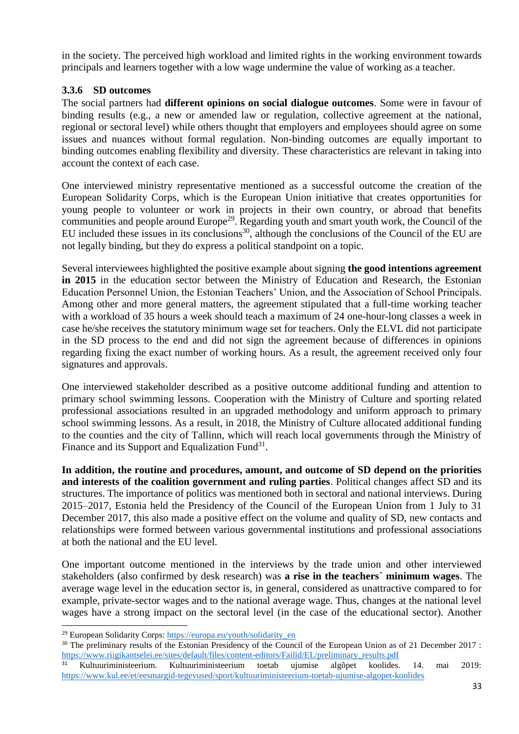in the society. The perceived high workload and limited rights in the working environment towards principals and learners together with a low wage undermine the value of working as a teacher.

## <span id="page-32-0"></span>**3.3.6 SD outcomes**

The social partners had **different opinions on social dialogue outcomes**. Some were in favour of binding results (e.g., a new or amended law or regulation, collective agreement at the national, regional or sectoral level) while others thought that employers and employees should agree on some issues and nuances without formal regulation. Non-binding outcomes are equally important to binding outcomes enabling flexibility and diversity. These characteristics are relevant in taking into account the context of each case.

One interviewed ministry representative mentioned as a successful outcome the creation of the European Solidarity Corps, which is the European Union initiative that creates opportunities for young people to volunteer or work in projects in their own country, or abroad that benefits communities and people around Europe<sup>29</sup>. Regarding youth and smart youth work, the Council of the EU included these issues in its conclusions<sup>30</sup>, although the conclusions of the Council of the EU are not legally binding, but they do express a political standpoint on a topic.

Several interviewees highlighted the positive example about signing **the good intentions agreement in 2015** in the education sector between the Ministry of Education and Research, the Estonian Education Personnel Union, the Estonian Teachers' Union, and the Association of School Principals. Among other and more general matters, the agreement stipulated that a full-time working teacher with a workload of 35 hours a week should teach a maximum of 24 one-hour-long classes a week in case he/she receives the statutory minimum wage set for teachers. Only the ELVL did not participate in the SD process to the end and did not sign the agreement because of differences in opinions regarding fixing the exact number of working hours. As a result, the agreement received only four signatures and approvals.

One interviewed stakeholder described as a positive outcome additional funding and attention to primary school swimming lessons. Cooperation with the Ministry of Culture and sporting related professional associations resulted in an upgraded methodology and uniform approach to primary school swimming lessons. As a result, in 2018, the Ministry of Culture allocated additional funding to the counties and the city of Tallinn, which will reach local governments through the Ministry of Finance and its Support and Equalization Fund $31$ .

**In addition, the routine and procedures, amount, and outcome of SD depend on the priorities and interests of the coalition government and ruling parties**. Political changes affect SD and its structures. The importance of politics was mentioned both in sectoral and national interviews. During 2015–2017, Estonia held the Presidency of the Council of the European Union from 1 July to 31 December 2017, this also made a positive effect on the volume and quality of SD, new contacts and relationships were formed between various governmental institutions and professional associations at both the national and the EU level.

One important outcome mentioned in the interviews by the trade union and other interviewed stakeholders (also confirmed by desk research) was **a rise in the teachers` minimum wages**. The average wage level in the education sector is, in general, considered as unattractive compared to for example, private-sector wages and to the national average wage. Thus, changes at the national level wages have a strong impact on the sectoral level (in the case of the educational sector). Another

 $\overline{\phantom{a}}$ 

<sup>&</sup>lt;sup>29</sup> European Solidarity Corps: [https://europa.eu/youth/solidarity\\_en](https://europa.eu/youth/solidarity_en)

<sup>&</sup>lt;sup>30</sup> The preliminary results of the Estonian Presidency of the Council of the European Union as of 21 December 2017 : [https://www.riigikantselei.ee/sites/default/files/content-editors/Failid/EL/preliminary\\_results.pdf](https://www.riigikantselei.ee/sites/default/files/content-editors/Failid/EL/preliminary_results.pdf)

<sup>31</sup> Kultuuriministeerium. Kultuuriministeerium toetab ujumise algõpet koolides. 14. mai 2019: <https://www.kul.ee/et/eesmargid-tegevused/sport/kultuuriministeerium-toetab-ujumise-algopet-koolides>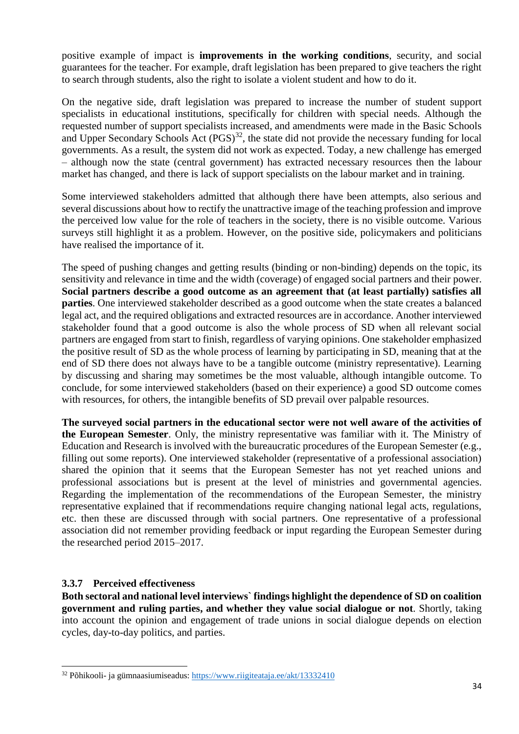positive example of impact is **improvements in the working conditions**, security, and social guarantees for the teacher. For example, draft legislation has been prepared to give teachers the right to search through students, also the right to isolate a violent student and how to do it.

On the negative side, draft legislation was prepared to increase the number of student support specialists in educational institutions, specifically for children with special needs. Although the requested number of support specialists increased, and amendments were made in the Basic Schools and Upper Secondary Schools Act  $(PGS)^{32}$ , the state did not provide the necessary funding for local governments. As a result, the system did not work as expected. Today, a new challenge has emerged – although now the state (central government) has extracted necessary resources then the labour market has changed, and there is lack of support specialists on the labour market and in training.

Some interviewed stakeholders admitted that although there have been attempts, also serious and several discussions about how to rectify the unattractive image of the teaching profession and improve the perceived low value for the role of teachers in the society, there is no visible outcome. Various surveys still highlight it as a problem. However, on the positive side, policymakers and politicians have realised the importance of it.

The speed of pushing changes and getting results (binding or non-binding) depends on the topic, its sensitivity and relevance in time and the width (coverage) of engaged social partners and their power. **Social partners describe a good outcome as an agreement that (at least partially) satisfies all parties**. One interviewed stakeholder described as a good outcome when the state creates a balanced legal act, and the required obligations and extracted resources are in accordance. Another interviewed stakeholder found that a good outcome is also the whole process of SD when all relevant social partners are engaged from start to finish, regardless of varying opinions. One stakeholder emphasized the positive result of SD as the whole process of learning by participating in SD, meaning that at the end of SD there does not always have to be a tangible outcome (ministry representative). Learning by discussing and sharing may sometimes be the most valuable, although intangible outcome. To conclude, for some interviewed stakeholders (based on their experience) a good SD outcome comes with resources, for others, the intangible benefits of SD prevail over palpable resources.

**The surveyed social partners in the educational sector were not well aware of the activities of the European Semester**. Only, the ministry representative was familiar with it. The Ministry of Education and Research is involved with the bureaucratic procedures of the European Semester (e.g., filling out some reports). One interviewed stakeholder (representative of a professional association) shared the opinion that it seems that the European Semester has not yet reached unions and professional associations but is present at the level of ministries and governmental agencies. Regarding the implementation of the recommendations of the European Semester, the ministry representative explained that if recommendations require changing national legal acts, regulations, etc. then these are discussed through with social partners. One representative of a professional association did not remember providing feedback or input regarding the European Semester during the researched period 2015–2017.

#### <span id="page-33-0"></span>**3.3.7 Perceived effectiveness**

 $\overline{a}$ 

**Both sectoral and national level interviews` findings highlight the dependence of SD on coalition government and ruling parties, and whether they value social dialogue or not**. Shortly, taking into account the opinion and engagement of trade unions in social dialogue depends on election cycles, day-to-day politics, and parties.

<sup>32</sup> Põhikooli- ja gümnaasiumiseadus:<https://www.riigiteataja.ee/akt/13332410>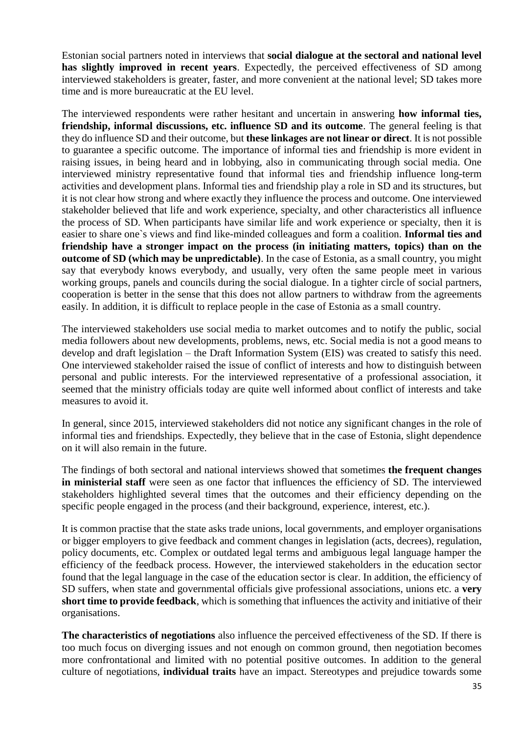Estonian social partners noted in interviews that **social dialogue at the sectoral and national level has slightly improved in recent years**. Expectedly, the perceived effectiveness of SD among interviewed stakeholders is greater, faster, and more convenient at the national level; SD takes more time and is more bureaucratic at the EU level.

The interviewed respondents were rather hesitant and uncertain in answering **how informal ties, friendship, informal discussions, etc. influence SD and its outcome**. The general feeling is that they do influence SD and their outcome, but **these linkages are not linear or direct**. It is not possible to guarantee a specific outcome. The importance of informal ties and friendship is more evident in raising issues, in being heard and in lobbying, also in communicating through social media. One interviewed ministry representative found that informal ties and friendship influence long-term activities and development plans. Informal ties and friendship play a role in SD and its structures, but it is not clear how strong and where exactly they influence the process and outcome. One interviewed stakeholder believed that life and work experience, specialty, and other characteristics all influence the process of SD. When participants have similar life and work experience or specialty, then it is easier to share one`s views and find like-minded colleagues and form a coalition. **Informal ties and friendship have a stronger impact on the process (in initiating matters, topics) than on the outcome of SD (which may be unpredictable)**. In the case of Estonia, as a small country, you might say that everybody knows everybody, and usually, very often the same people meet in various working groups, panels and councils during the social dialogue. In a tighter circle of social partners, cooperation is better in the sense that this does not allow partners to withdraw from the agreements easily. In addition, it is difficult to replace people in the case of Estonia as a small country.

The interviewed stakeholders use social media to market outcomes and to notify the public, social media followers about new developments, problems, news, etc. Social media is not a good means to develop and draft legislation – the Draft Information System (EIS) was created to satisfy this need. One interviewed stakeholder raised the issue of conflict of interests and how to distinguish between personal and public interests. For the interviewed representative of a professional association, it seemed that the ministry officials today are quite well informed about conflict of interests and take measures to avoid it.

In general, since 2015, interviewed stakeholders did not notice any significant changes in the role of informal ties and friendships. Expectedly, they believe that in the case of Estonia, slight dependence on it will also remain in the future.

The findings of both sectoral and national interviews showed that sometimes **the frequent changes in ministerial staff** were seen as one factor that influences the efficiency of SD. The interviewed stakeholders highlighted several times that the outcomes and their efficiency depending on the specific people engaged in the process (and their background, experience, interest, etc.).

It is common practise that the state asks trade unions, local governments, and employer organisations or bigger employers to give feedback and comment changes in legislation (acts, decrees), regulation, policy documents, etc. Complex or outdated legal terms and ambiguous legal language hamper the efficiency of the feedback process. However, the interviewed stakeholders in the education sector found that the legal language in the case of the education sector is clear. In addition, the efficiency of SD suffers, when state and governmental officials give professional associations, unions etc. a **very short time to provide feedback**, which is something that influences the activity and initiative of their organisations.

**The characteristics of negotiations** also influence the perceived effectiveness of the SD. If there is too much focus on diverging issues and not enough on common ground, then negotiation becomes more confrontational and limited with no potential positive outcomes. In addition to the general culture of negotiations, **individual traits** have an impact. Stereotypes and prejudice towards some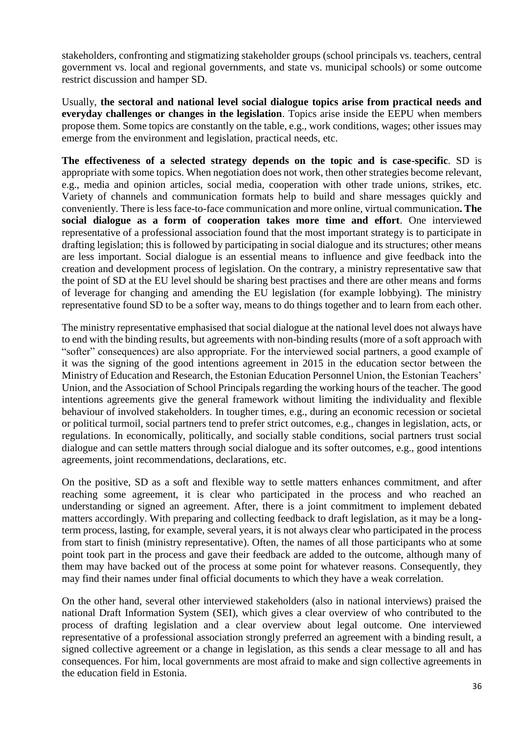stakeholders, confronting and stigmatizing stakeholder groups (school principals vs. teachers, central government vs. local and regional governments, and state vs. municipal schools) or some outcome restrict discussion and hamper SD.

Usually, **the sectoral and national level social dialogue topics arise from practical needs and everyday challenges or changes in the legislation**. Topics arise inside the EEPU when members propose them. Some topics are constantly on the table, e.g., work conditions, wages; other issues may emerge from the environment and legislation, practical needs, etc.

**The effectiveness of a selected strategy depends on the topic and is case-specific**. SD is appropriate with some topics. When negotiation does not work, then other strategies become relevant, e.g., media and opinion articles, social media, cooperation with other trade unions, strikes, etc. Variety of channels and communication formats help to build and share messages quickly and conveniently. There is less face-to-face communication and more online, virtual communication**. The social dialogue as a form of cooperation takes more time and effort**. One interviewed representative of a professional association found that the most important strategy is to participate in drafting legislation; this is followed by participating in social dialogue and its structures; other means are less important. Social dialogue is an essential means to influence and give feedback into the creation and development process of legislation. On the contrary, a ministry representative saw that the point of SD at the EU level should be sharing best practises and there are other means and forms of leverage for changing and amending the EU legislation (for example lobbying). The ministry representative found SD to be a softer way, means to do things together and to learn from each other.

The ministry representative emphasised that social dialogue at the national level does not always have to end with the binding results, but agreements with non-binding results (more of a soft approach with "softer" consequences) are also appropriate. For the interviewed social partners, a good example of it was the signing of the good intentions agreement in 2015 in the education sector between the Ministry of Education and Research, the Estonian Education Personnel Union, the Estonian Teachers' Union, and the Association of School Principals regarding the working hours of the teacher. The good intentions agreements give the general framework without limiting the individuality and flexible behaviour of involved stakeholders. In tougher times, e.g., during an economic recession or societal or political turmoil, social partners tend to prefer strict outcomes, e.g., changes in legislation, acts, or regulations. In economically, politically, and socially stable conditions, social partners trust social dialogue and can settle matters through social dialogue and its softer outcomes, e.g., good intentions agreements, joint recommendations, declarations, etc.

On the positive, SD as a soft and flexible way to settle matters enhances commitment, and after reaching some agreement, it is clear who participated in the process and who reached an understanding or signed an agreement. After, there is a joint commitment to implement debated matters accordingly. With preparing and collecting feedback to draft legislation, as it may be a longterm process, lasting, for example, several years, it is not always clear who participated in the process from start to finish (ministry representative). Often, the names of all those participants who at some point took part in the process and gave their feedback are added to the outcome, although many of them may have backed out of the process at some point for whatever reasons. Consequently, they may find their names under final official documents to which they have a weak correlation.

On the other hand, several other interviewed stakeholders (also in national interviews) praised the national Draft Information System (SEI), which gives a clear overview of who contributed to the process of drafting legislation and a clear overview about legal outcome. One interviewed representative of a professional association strongly preferred an agreement with a binding result, a signed collective agreement or a change in legislation, as this sends a clear message to all and has consequences. For him, local governments are most afraid to make and sign collective agreements in the education field in Estonia.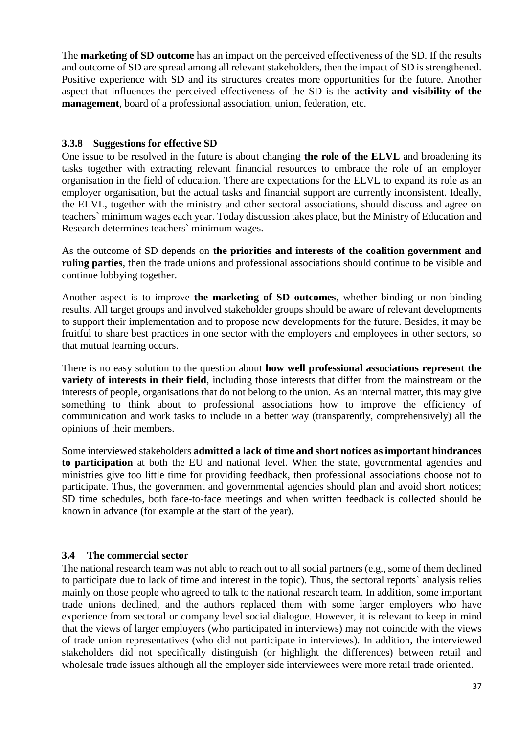The **marketing of SD outcome** has an impact on the perceived effectiveness of the SD. If the results and outcome of SD are spread among all relevant stakeholders, then the impact of SD is strengthened. Positive experience with SD and its structures creates more opportunities for the future. Another aspect that influences the perceived effectiveness of the SD is the **activity and visibility of the management**, board of a professional association, union, federation, etc.

#### <span id="page-36-0"></span>**3.3.8 Suggestions for effective SD**

One issue to be resolved in the future is about changing **the role of the ELVL** and broadening its tasks together with extracting relevant financial resources to embrace the role of an employer organisation in the field of education. There are expectations for the ELVL to expand its role as an employer organisation, but the actual tasks and financial support are currently inconsistent. Ideally, the ELVL, together with the ministry and other sectoral associations, should discuss and agree on teachers` minimum wages each year. Today discussion takes place, but the Ministry of Education and Research determines teachers` minimum wages.

As the outcome of SD depends on **the priorities and interests of the coalition government and ruling parties**, then the trade unions and professional associations should continue to be visible and continue lobbying together.

Another aspect is to improve **the marketing of SD outcomes**, whether binding or non-binding results. All target groups and involved stakeholder groups should be aware of relevant developments to support their implementation and to propose new developments for the future. Besides, it may be fruitful to share best practices in one sector with the employers and employees in other sectors, so that mutual learning occurs.

There is no easy solution to the question about **how well professional associations represent the variety of interests in their field**, including those interests that differ from the mainstream or the interests of people, organisations that do not belong to the union. As an internal matter, this may give something to think about to professional associations how to improve the efficiency of communication and work tasks to include in a better way (transparently, comprehensively) all the opinions of their members.

Some interviewed stakeholders **admitted a lack of time and short notices as important hindrances to participation** at both the EU and national level. When the state, governmental agencies and ministries give too little time for providing feedback, then professional associations choose not to participate. Thus, the government and governmental agencies should plan and avoid short notices; SD time schedules, both face-to-face meetings and when written feedback is collected should be known in advance (for example at the start of the year).

#### <span id="page-36-1"></span>**3.4 The commercial sector**

The national research team was not able to reach out to all social partners (e.g., some of them declined to participate due to lack of time and interest in the topic). Thus, the sectoral reports` analysis relies mainly on those people who agreed to talk to the national research team. In addition, some important trade unions declined, and the authors replaced them with some larger employers who have experience from sectoral or company level social dialogue. However, it is relevant to keep in mind that the views of larger employers (who participated in interviews) may not coincide with the views of trade union representatives (who did not participate in interviews). In addition, the interviewed stakeholders did not specifically distinguish (or highlight the differences) between retail and wholesale trade issues although all the employer side interviewees were more retail trade oriented.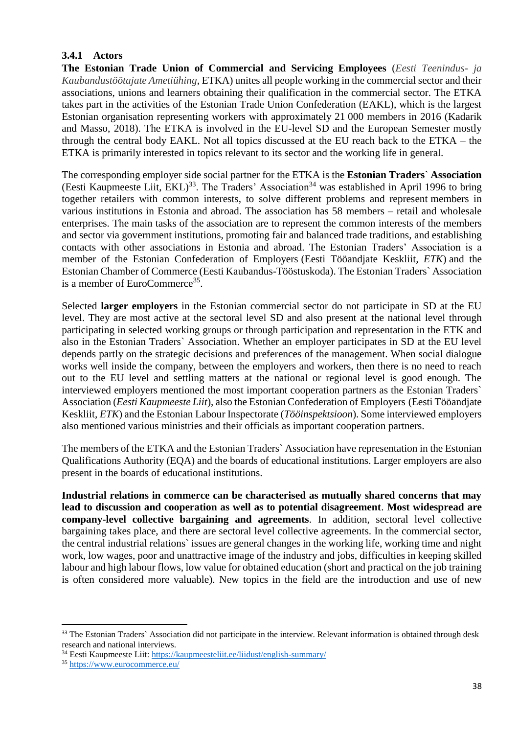#### <span id="page-37-0"></span>**3.4.1 Actors**

**The Estonian Trade Union of Commercial and Servicing Employees** (*Eesti Teenindus- ja Kaubandustöötajate Ametiühing*, ETKA) unites all people working in the commercial sector and their associations, unions and learners obtaining their qualification in the commercial sector. The ETKA takes part in the activities of the Estonian Trade Union Confederation (EAKL), which is the largest Estonian organisation representing workers with approximately 21 000 members in 2016 (Kadarik and Masso, 2018). The ETKA is involved in the EU-level SD and the European Semester mostly through the central body EAKL. Not all topics discussed at the EU reach back to the ETKA – the ETKA is primarily interested in topics relevant to its sector and the working life in general.

The corresponding employer side social partner for the ETKA is the **Estonian Traders` Association** (Eesti Kaupmeeste Liit,  $EKL$ )<sup>33</sup>. The Traders' Association<sup>34</sup> was established in April 1996 to bring together retailers with common interests, to solve different problems and represent members in various institutions in Estonia and abroad. The association has 58 [members](https://kaupmeesteliit.ee/liikmed/meie-liikmed/) – retail and wholesale enterprises. The main tasks of the association are to represent the common interests of the members and sector via government institutions, promoting fair and balanced trade traditions, and establishing contacts with other associations in Estonia and abroad. The Estonian Traders' Association is a member of the Estonian Confederation of Employers [\(Eesti Tööandjate Keskliit](http://www.employers.ee/en/)*, ETK*) and the Estonian Chamber of Commerce [\(Eesti Kaubandus-Tööstuskoda\)](http://www.koda.ee/en). The Estonian Traders` Association is a member of EuroCommerce<sup>35</sup>.

Selected **larger employers** in the Estonian commercial sector do not participate in SD at the EU level. They are most active at the sectoral level SD and also present at the national level through participating in selected working groups or through participation and representation in the ETK and also in the Estonian Traders` Association. Whether an employer participates in SD at the EU level depends partly on the strategic decisions and preferences of the management. When social dialogue works well inside the company, between the employers and workers, then there is no need to reach out to the EU level and settling matters at the national or regional level is good enough. The interviewed employers mentioned the most important cooperation partners as the Estonian Traders` Association (*Eesti Kaupmeeste Liit*), also the Estonian Confederation of Employers [\(Eesti Tööandjate](http://www.employers.ee/en/)  [Keskliit](http://www.employers.ee/en/)*, ETK*) and the Estonian Labour Inspectorate (*Tööinspektsioon*). Some interviewed employers also mentioned various ministries and their officials as important cooperation partners.

The members of the ETKA and the Estonian Traders` Association have representation in the Estonian Qualifications Authority (EQA) and the boards of educational institutions. Larger employers are also present in the boards of educational institutions.

**Industrial relations in commerce can be characterised as mutually shared concerns that may lead to discussion and cooperation as well as to potential disagreement**. **Most widespread are company-level collective bargaining and agreements**. In addition, sectoral level collective bargaining takes place, and there are sectoral level collective agreements. In the commercial sector, the central industrial relations` issues are general changes in the working life, working time and night work, low wages, poor and unattractive image of the industry and jobs, difficulties in keeping skilled labour and high labour flows, low value for obtained education (short and practical on the job training is often considered more valuable). New topics in the field are the introduction and use of new

 $\overline{a}$ 

<sup>&</sup>lt;sup>33</sup> The Estonian Traders` Association did not participate in the interview. Relevant information is obtained through desk research and national interviews.

<sup>34</sup> Eesti Kaupmeeste Liit:<https://kaupmeesteliit.ee/liidust/english-summary/>

<sup>35</sup> <https://www.eurocommerce.eu/>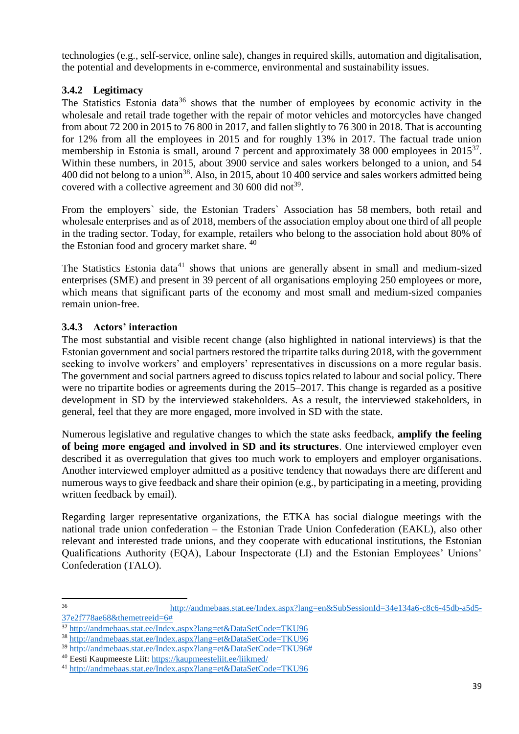technologies (e.g., self-service, online sale), changes in required skills, automation and digitalisation, the potential and developments in e-commerce, environmental and sustainability issues.

## <span id="page-38-0"></span>**3.4.2 Legitimacy**

The Statistics Estonia data<sup>36</sup> shows that the number of employees by economic activity in the wholesale and retail trade together with the repair of motor vehicles and motorcycles have changed from about 72 200 in 2015 to 76 800 in 2017, and fallen slightly to 76 300 in 2018. That is accounting for 12% from all the employees in 2015 and for roughly 13% in 2017. The factual trade union membership in Estonia is small, around 7 percent and approximately 38 000 employees in 2015<sup>37</sup>. Within these numbers, in 2015, about 3900 service and sales workers belonged to a union, and 54 400 did not belong to a union<sup>38</sup>. Also, in 2015, about 10 400 service and sales workers admitted being covered with a collective agreement and 30 600 did not<sup>39</sup>.

From the employers` side, the Estonian Traders` Association has 58 [members,](https://kaupmeesteliit.ee/liikmed/meie-liikmed/) both retail and wholesale enterprises and as of 2018, members of the association employ about one third of all people in the trading sector. Today, for example, retailers who belong to the association hold about 80% of the Estonian food and grocery market share. <sup>40</sup>

The Statistics Estonia data<sup>41</sup> shows that unions are generally absent in small and medium-sized enterprises (SME) and present in 39 percent of all organisations employing 250 employees or more, which means that significant parts of the economy and most small and medium-sized companies remain union-free.

## <span id="page-38-1"></span>**3.4.3 Actors' interaction**

The most substantial and visible recent change (also highlighted in national interviews) is that the Estonian government and social partners restored the tripartite talks during 2018, with the government seeking to involve workers' and employers' representatives in discussions on a more regular basis. The government and social partners agreed to discuss topics related to labour and social policy. There were no tripartite bodies or agreements during the 2015–2017. This change is regarded as a positive development in SD by the interviewed stakeholders. As a result, the interviewed stakeholders, in general, feel that they are more engaged, more involved in SD with the state.

Numerous legislative and regulative changes to which the state asks feedback, **amplify the feeling of being more engaged and involved in SD and its structures**. One interviewed employer even described it as overregulation that gives too much work to employers and employer organisations. Another interviewed employer admitted as a positive tendency that nowadays there are different and numerous ways to give feedback and share their opinion (e.g., by participating in a meeting, providing written feedback by email).

Regarding larger representative organizations, the ETKA has social dialogue meetings with the national trade union confederation – the Estonian Trade Union Confederation (EAKL), also other relevant and interested trade unions, and they cooperate with educational institutions, the Estonian Qualifications Authority (EQA), Labour Inspectorate (LI) and the Estonian Employees' Unions' Confederation (TALO).

 $36$ <sup>36</sup> [http://andmebaas.stat.ee/Index.aspx?lang=en&SubSessionId=34e134a6-c8c6-45db-a5d5-](http://andmebaas.stat.ee/Index.aspx?lang=en&SubSessionId=34e134a6-c8c6-45db-a5d5-37e2f778ae68&themetreeid=6) [37e2f778ae68&themetreeid=6#](http://andmebaas.stat.ee/Index.aspx?lang=en&SubSessionId=34e134a6-c8c6-45db-a5d5-37e2f778ae68&themetreeid=6)

<sup>37</sup> <http://andmebaas.stat.ee/Index.aspx?lang=et&DataSetCode=TKU96>

<sup>38</sup> <http://andmebaas.stat.ee/Index.aspx?lang=et&DataSetCode=TKU96>

<sup>39</sup> [http://andmebaas.stat.ee/Index.aspx?lang=et&DataSetCode=TKU96#](http://andmebaas.stat.ee/Index.aspx?lang=et&DataSetCode=TKU96)

<sup>40</sup> Eesti Kaupmeeste Liit:<https://kaupmeesteliit.ee/liikmed/>

<sup>41</sup> <http://andmebaas.stat.ee/Index.aspx?lang=et&DataSetCode=TKU96>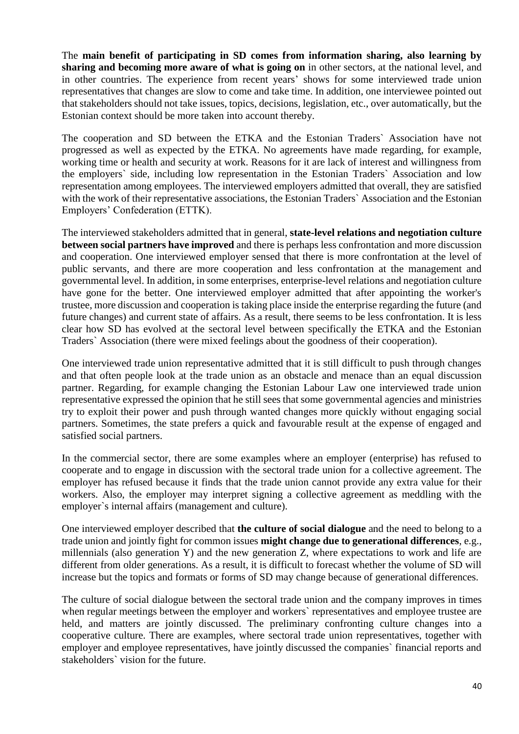The **main benefit of participating in SD comes from information sharing, also learning by sharing and becoming more aware of what is going on** in other sectors, at the national level, and in other countries. The experience from recent years' shows for some interviewed trade union representatives that changes are slow to come and take time. In addition, one interviewee pointed out that stakeholders should not take issues, topics, decisions, legislation, etc., over automatically, but the Estonian context should be more taken into account thereby.

The cooperation and SD between the ETKA and the Estonian Traders` Association have not progressed as well as expected by the ETKA. No agreements have made regarding, for example, working time or health and security at work. Reasons for it are lack of interest and willingness from the employers` side, including low representation in the Estonian Traders` Association and low representation among employees. The interviewed employers admitted that overall, they are satisfied with the work of their representative associations, the Estonian Traders` Association and the Estonian Employers' Confederation (ETTK).

The interviewed stakeholders admitted that in general, **state-level relations and negotiation culture between social partners have improved** and there is perhaps less confrontation and more discussion and cooperation. One interviewed employer sensed that there is more confrontation at the level of public servants, and there are more cooperation and less confrontation at the management and governmental level. In addition, in some enterprises, enterprise-level relations and negotiation culture have gone for the better. One interviewed employer admitted that after appointing the worker's trustee, more discussion and cooperation is taking place inside the enterprise regarding the future (and future changes) and current state of affairs. As a result, there seems to be less confrontation. It is less clear how SD has evolved at the sectoral level between specifically the ETKA and the Estonian Traders` Association (there were mixed feelings about the goodness of their cooperation).

One interviewed trade union representative admitted that it is still difficult to push through changes and that often people look at the trade union as an obstacle and menace than an equal discussion partner. Regarding, for example changing the Estonian Labour Law one interviewed trade union representative expressed the opinion that he still sees that some governmental agencies and ministries try to exploit their power and push through wanted changes more quickly without engaging social partners. Sometimes, the state prefers a quick and favourable result at the expense of engaged and satisfied social partners.

In the commercial sector, there are some examples where an employer (enterprise) has refused to cooperate and to engage in discussion with the sectoral trade union for a collective agreement. The employer has refused because it finds that the trade union cannot provide any extra value for their workers. Also, the employer may interpret signing a collective agreement as meddling with the employer`s internal affairs (management and culture).

One interviewed employer described that **the culture of social dialogue** and the need to belong to a trade union and jointly fight for common issues **might change due to generational differences**, e.g., millennials (also generation Y) and the new generation Z, where expectations to work and life are different from older generations. As a result, it is difficult to forecast whether the volume of SD will increase but the topics and formats or forms of SD may change because of generational differences.

The culture of social dialogue between the sectoral trade union and the company improves in times when regular meetings between the employer and workers` representatives and employee trustee are held, and matters are jointly discussed. The preliminary confronting culture changes into a cooperative culture. There are examples, where sectoral trade union representatives, together with employer and employee representatives, have jointly discussed the companies` financial reports and stakeholders` vision for the future.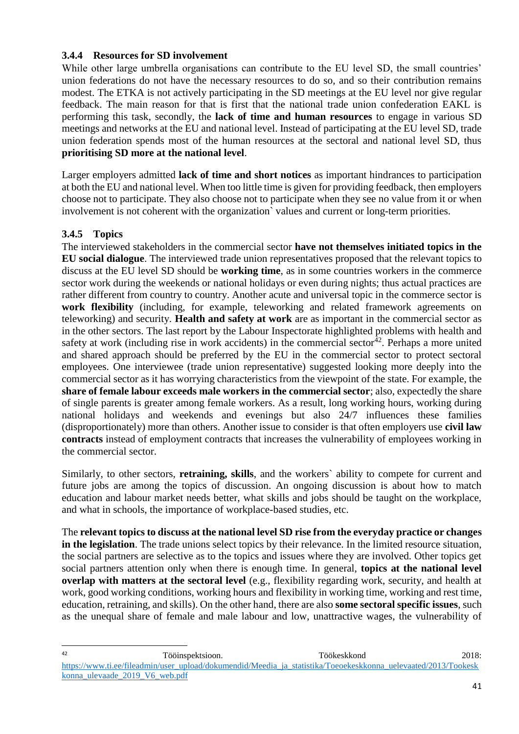#### <span id="page-40-0"></span>**3.4.4 Resources for SD involvement**

While other large umbrella organisations can contribute to the EU level SD, the small countries' union federations do not have the necessary resources to do so, and so their contribution remains modest. The ETKA is not actively participating in the SD meetings at the EU level nor give regular feedback. The main reason for that is first that the national trade union confederation EAKL is performing this task, secondly, the **lack of time and human resources** to engage in various SD meetings and networks at the EU and national level. Instead of participating at the EU level SD, trade union federation spends most of the human resources at the sectoral and national level SD, thus **prioritising SD more at the national level**.

Larger employers admitted **lack of time and short notices** as important hindrances to participation at both the EU and national level. When too little time is given for providing feedback, then employers choose not to participate. They also choose not to participate when they see no value from it or when involvement is not coherent with the organization` values and current or long-term priorities.

## <span id="page-40-1"></span>**3.4.5 Topics**

The interviewed stakeholders in the commercial sector **have not themselves initiated topics in the EU social dialogue**. The interviewed trade union representatives proposed that the relevant topics to discuss at the EU level SD should be **working time**, as in some countries workers in the commerce sector work during the weekends or national holidays or even during nights; thus actual practices are rather different from country to country. Another acute and universal topic in the commerce sector is **work flexibility** (including, for example, teleworking and related framework agreements on teleworking) and security. **Health and safety at work** are as important in the commercial sector as in the other sectors. The last report by the Labour Inspectorate highlighted problems with health and safety at work (including rise in work accidents) in the commercial sector<sup> $42$ </sup>. Perhaps a more united and shared approach should be preferred by the EU in the commercial sector to protect sectoral employees. One interviewee (trade union representative) suggested looking more deeply into the commercial sector as it has worrying characteristics from the viewpoint of the state. For example, the **share of female labour exceeds male workers in the commercial sector**; also, expectedly the share of single parents is greater among female workers. As a result, long working hours, working during national holidays and weekends and evenings but also 24/7 influences these families (disproportionately) more than others. Another issue to consider is that often employers use **civil law contracts** instead of employment contracts that increases the vulnerability of employees working in the commercial sector.

Similarly, to other sectors, **retraining, skills**, and the workers` ability to compete for current and future jobs are among the topics of discussion. An ongoing discussion is about how to match education and labour market needs better, what skills and jobs should be taught on the workplace, and what in schools, the importance of workplace-based studies, etc.

The **relevant topics to discuss at the national level SD rise from the everyday practice or changes in the legislation**. The trade unions select topics by their relevance. In the limited resource situation, the social partners are selective as to the topics and issues where they are involved. Other topics get social partners attention only when there is enough time. In general, **topics at the national level overlap with matters at the sectoral level** (e.g., flexibility regarding work, security, and health at work, good working conditions, working hours and flexibility in working time, working and rest time, education, retraining, and skills). On the other hand, there are also **some sectoral specific issues**, such as the unequal share of female and male labour and low, unattractive wages, the vulnerability of

 $42$ <sup>42</sup> Tööinspektsioon. Töökeskkond 2018: [https://www.ti.ee/fileadmin/user\\_upload/dokumendid/Meedia\\_ja\\_statistika/Toeoekeskkonna\\_uelevaated/2013/Tookesk](https://www.ti.ee/fileadmin/user_upload/dokumendid/Meedia_ja_statistika/Toeoekeskkonna_uelevaated/2013/Tookeskkonna_ulevaade_2019_V6_web.pdf) [konna\\_ulevaade\\_2019\\_V6\\_web.pdf](https://www.ti.ee/fileadmin/user_upload/dokumendid/Meedia_ja_statistika/Toeoekeskkonna_uelevaated/2013/Tookeskkonna_ulevaade_2019_V6_web.pdf)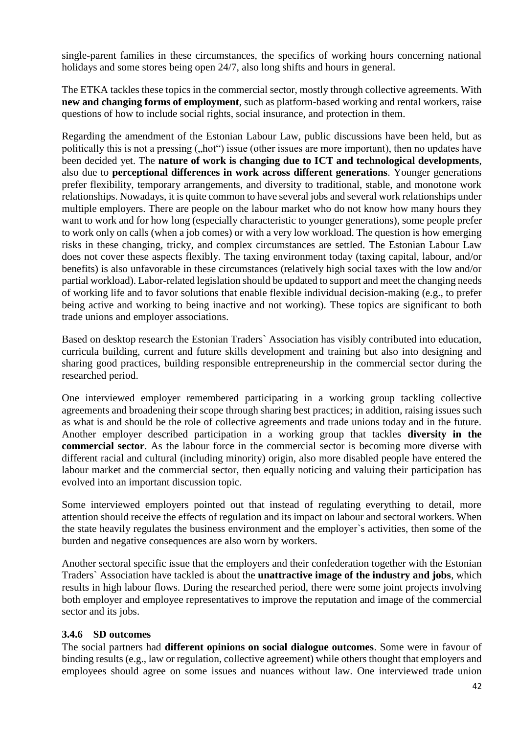single-parent families in these circumstances, the specifics of working hours concerning national holidays and some stores being open 24/7, also long shifts and hours in general.

The ETKA tackles these topics in the commercial sector, mostly through collective agreements. With **new and changing forms of employment**, such as platform-based working and rental workers, raise questions of how to include social rights, social insurance, and protection in them.

Regarding the amendment of the Estonian Labour Law, public discussions have been held, but as politically this is not a pressing ("hot") issue (other issues are more important), then no updates have been decided yet. The **nature of work is changing due to ICT and technological developments**, also due to **perceptional differences in work across different generations**. Younger generations prefer flexibility, temporary arrangements, and diversity to traditional, stable, and monotone work relationships. Nowadays, it is quite common to have several jobs and several work relationships under multiple employers. There are people on the labour market who do not know how many hours they want to work and for how long (especially characteristic to younger generations), some people prefer to work only on calls (when a job comes) or with a very low workload. The question is how emerging risks in these changing, tricky, and complex circumstances are settled. The Estonian Labour Law does not cover these aspects flexibly. The taxing environment today (taxing capital, labour, and/or benefits) is also unfavorable in these circumstances (relatively high social taxes with the low and/or partial workload). Labor-related legislation should be updated to support and meet the changing needs of working life and to favor solutions that enable flexible individual decision-making (e.g., to prefer being active and working to being inactive and not working). These topics are significant to both trade unions and employer associations.

Based on desktop research the Estonian Traders` Association has visibly contributed into education, curricula building, current and future skills development and training but also into designing and sharing good practices, building responsible entrepreneurship in the commercial sector during the researched period.

One interviewed employer remembered participating in a working group tackling collective agreements and broadening their scope through sharing best practices; in addition, raising issues such as what is and should be the role of collective agreements and trade unions today and in the future. Another employer described participation in a working group that tackles **diversity in the commercial sector**. As the labour force in the commercial sector is becoming more diverse with different racial and cultural (including minority) origin, also more disabled people have entered the labour market and the commercial sector, then equally noticing and valuing their participation has evolved into an important discussion topic.

Some interviewed employers pointed out that instead of regulating everything to detail, more attention should receive the effects of regulation and its impact on labour and sectoral workers. When the state heavily regulates the business environment and the employer`s activities, then some of the burden and negative consequences are also worn by workers.

Another sectoral specific issue that the employers and their confederation together with the Estonian Traders` Association have tackled is about the **unattractive image of the industry and jobs**, which results in high labour flows. During the researched period, there were some joint projects involving both employer and employee representatives to improve the reputation and image of the commercial sector and its jobs.

#### <span id="page-41-0"></span>**3.4.6 SD outcomes**

The social partners had **different opinions on social dialogue outcomes**. Some were in favour of binding results (e.g., law or regulation, collective agreement) while others thought that employers and employees should agree on some issues and nuances without law. One interviewed trade union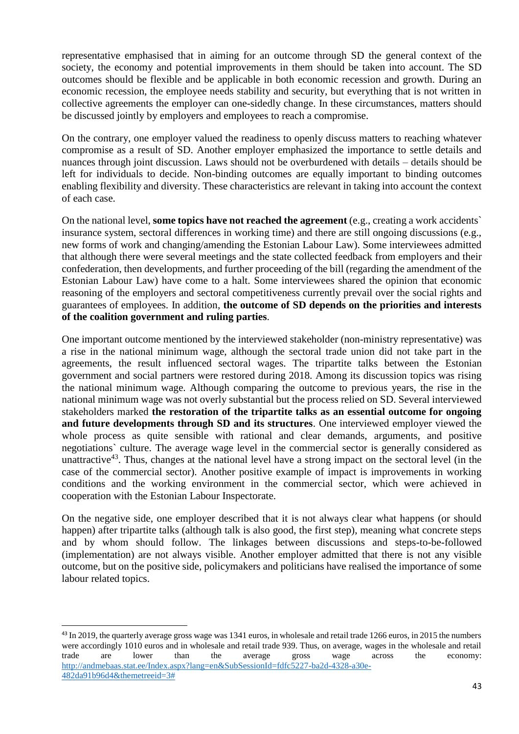representative emphasised that in aiming for an outcome through SD the general context of the society, the economy and potential improvements in them should be taken into account. The SD outcomes should be flexible and be applicable in both economic recession and growth. During an economic recession, the employee needs stability and security, but everything that is not written in collective agreements the employer can one-sidedly change. In these circumstances, matters should be discussed jointly by employers and employees to reach a compromise.

On the contrary, one employer valued the readiness to openly discuss matters to reaching whatever compromise as a result of SD. Another employer emphasized the importance to settle details and nuances through joint discussion. Laws should not be overburdened with details – details should be left for individuals to decide. Non-binding outcomes are equally important to binding outcomes enabling flexibility and diversity. These characteristics are relevant in taking into account the context of each case.

On the national level, **some topics have not reached the agreement** (e.g., creating a work accidents` insurance system, sectoral differences in working time) and there are still ongoing discussions (e.g., new forms of work and changing/amending the Estonian Labour Law). Some interviewees admitted that although there were several meetings and the state collected feedback from employers and their confederation, then developments, and further proceeding of the bill (regarding the amendment of the Estonian Labour Law) have come to a halt. Some interviewees shared the opinion that economic reasoning of the employers and sectoral competitiveness currently prevail over the social rights and guarantees of employees. In addition, **the outcome of SD depends on the priorities and interests of the coalition government and ruling parties**.

One important outcome mentioned by the interviewed stakeholder (non-ministry representative) was a rise in the national minimum wage, although the sectoral trade union did not take part in the agreements, the result influenced sectoral wages. The tripartite talks between the Estonian government and social partners were restored during 2018. Among its discussion topics was rising the national minimum wage. Although comparing the outcome to previous years, the rise in the national minimum wage was not overly substantial but the process relied on SD. Several interviewed stakeholders marked **the restoration of the tripartite talks as an essential outcome for ongoing and future developments through SD and its structures**. One interviewed employer viewed the whole process as quite sensible with rational and clear demands, arguments, and positive negotiations` culture. The average wage level in the commercial sector is generally considered as unattractive<sup>43</sup>. Thus, changes at the national level have a strong impact on the sectoral level (in the case of the commercial sector). Another positive example of impact is improvements in working conditions and the working environment in the commercial sector, which were achieved in cooperation with the Estonian Labour Inspectorate.

On the negative side, one employer described that it is not always clear what happens (or should happen) after tripartite talks (although talk is also good, the first step), meaning what concrete steps and by whom should follow. The linkages between discussions and steps-to-be-followed (implementation) are not always visible. Another employer admitted that there is not any visible outcome, but on the positive side, policymakers and politicians have realised the importance of some labour related topics.

 $\overline{\phantom{a}}$ 

<sup>&</sup>lt;sup>43</sup> In 2019, the quarterly average gross wage was 1341 euros, in wholesale and retail trade 1266 euros, in 2015 the numbers were accordingly 1010 euros and in wholesale and retail trade 939. Thus, on average, wages in the wholesale and retail trade are lower than the average gross wage across the economy: [http://andmebaas.stat.ee/Index.aspx?lang=en&SubSessionId=fdfc5227-ba2d-4328-a30e-](http://andmebaas.stat.ee/Index.aspx?lang=en&SubSessionId=fdfc5227-ba2d-4328-a30e-482da91b96d4&themetreeid=3)[482da91b96d4&themetreeid=3#](http://andmebaas.stat.ee/Index.aspx?lang=en&SubSessionId=fdfc5227-ba2d-4328-a30e-482da91b96d4&themetreeid=3)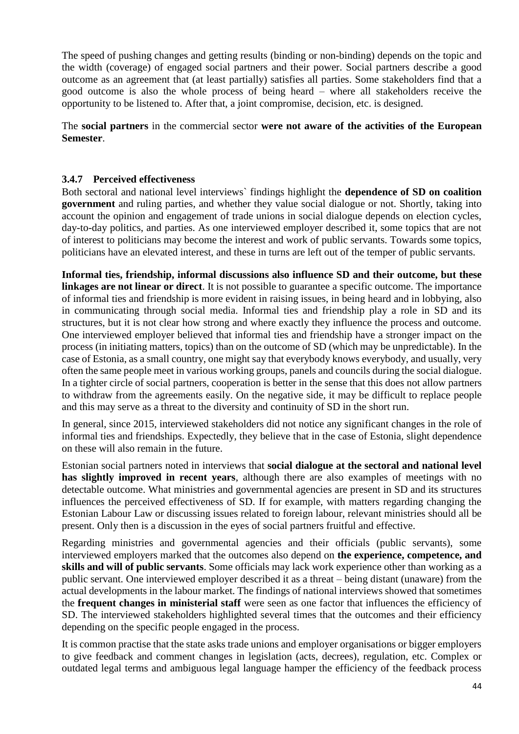The speed of pushing changes and getting results (binding or non-binding) depends on the topic and the width (coverage) of engaged social partners and their power. Social partners describe a good outcome as an agreement that (at least partially) satisfies all parties. Some stakeholders find that a good outcome is also the whole process of being heard – where all stakeholders receive the opportunity to be listened to. After that, a joint compromise, decision, etc. is designed.

The **social partners** in the commercial sector **were not aware of the activities of the European Semester**.

#### <span id="page-43-0"></span>**3.4.7 Perceived effectiveness**

Both sectoral and national level interviews` findings highlight the **dependence of SD on coalition government** and ruling parties, and whether they value social dialogue or not. Shortly, taking into account the opinion and engagement of trade unions in social dialogue depends on election cycles, day-to-day politics, and parties. As one interviewed employer described it, some topics that are not of interest to politicians may become the interest and work of public servants. Towards some topics, politicians have an elevated interest, and these in turns are left out of the temper of public servants.

**Informal ties, friendship, informal discussions also influence SD and their outcome, but these linkages are not linear or direct**. It is not possible to guarantee a specific outcome. The importance of informal ties and friendship is more evident in raising issues, in being heard and in lobbying, also in communicating through social media. Informal ties and friendship play a role in SD and its structures, but it is not clear how strong and where exactly they influence the process and outcome. One interviewed employer believed that informal ties and friendship have a stronger impact on the process (in initiating matters, topics) than on the outcome of SD (which may be unpredictable). In the case of Estonia, as a small country, one might say that everybody knows everybody, and usually, very often the same people meet in various working groups, panels and councils during the social dialogue. In a tighter circle of social partners, cooperation is better in the sense that this does not allow partners to withdraw from the agreements easily. On the negative side, it may be difficult to replace people and this may serve as a threat to the diversity and continuity of SD in the short run.

In general, since 2015, interviewed stakeholders did not notice any significant changes in the role of informal ties and friendships. Expectedly, they believe that in the case of Estonia, slight dependence on these will also remain in the future.

Estonian social partners noted in interviews that **social dialogue at the sectoral and national level has slightly improved in recent years**, although there are also examples of meetings with no detectable outcome. What ministries and governmental agencies are present in SD and its structures influences the perceived effectiveness of SD. If for example, with matters regarding changing the Estonian Labour Law or discussing issues related to foreign labour, relevant ministries should all be present. Only then is a discussion in the eyes of social partners fruitful and effective.

Regarding ministries and governmental agencies and their officials (public servants), some interviewed employers marked that the outcomes also depend on **the experience, competence, and skills and will of public servants**. Some officials may lack work experience other than working as a public servant. One interviewed employer described it as a threat – being distant (unaware) from the actual developments in the labour market. The findings of national interviews showed that sometimes the **frequent changes in ministerial staff** were seen as one factor that influences the efficiency of SD. The interviewed stakeholders highlighted several times that the outcomes and their efficiency depending on the specific people engaged in the process.

It is common practise that the state asks trade unions and employer organisations or bigger employers to give feedback and comment changes in legislation (acts, decrees), regulation, etc. Complex or outdated legal terms and ambiguous legal language hamper the efficiency of the feedback process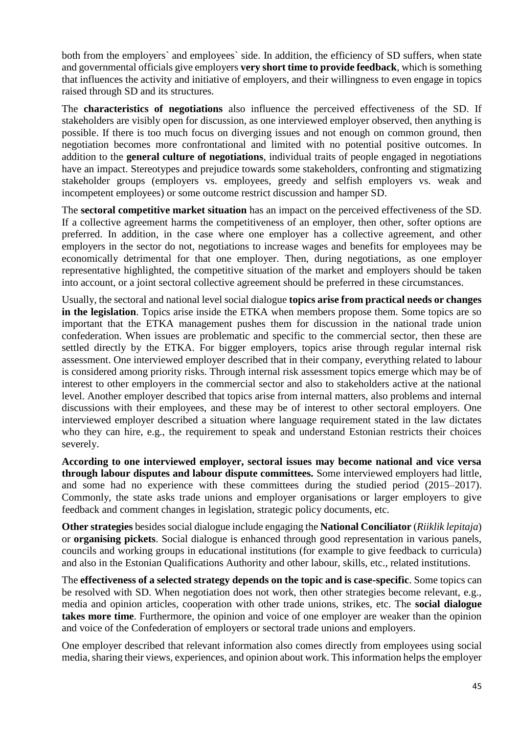both from the employers` and employees` side. In addition, the efficiency of SD suffers, when state and governmental officials give employers **very short time to provide feedback**, which is something that influences the activity and initiative of employers, and their willingness to even engage in topics raised through SD and its structures.

The **characteristics of negotiations** also influence the perceived effectiveness of the SD. If stakeholders are visibly open for discussion, as one interviewed employer observed, then anything is possible. If there is too much focus on diverging issues and not enough on common ground, then negotiation becomes more confrontational and limited with no potential positive outcomes. In addition to the **general culture of negotiations**, individual traits of people engaged in negotiations have an impact. Stereotypes and prejudice towards some stakeholders, confronting and stigmatizing stakeholder groups (employers vs. employees, greedy and selfish employers vs. weak and incompetent employees) or some outcome restrict discussion and hamper SD.

The **sectoral competitive market situation** has an impact on the perceived effectiveness of the SD. If a collective agreement harms the competitiveness of an employer, then other, softer options are preferred. In addition, in the case where one employer has a collective agreement, and other employers in the sector do not, negotiations to increase wages and benefits for employees may be economically detrimental for that one employer. Then, during negotiations, as one employer representative highlighted, the competitive situation of the market and employers should be taken into account, or a joint sectoral collective agreement should be preferred in these circumstances.

Usually, the sectoral and national level social dialogue **topics arise from practical needs or changes in the legislation**. Topics arise inside the ETKA when members propose them. Some topics are so important that the ETKA management pushes them for discussion in the national trade union confederation. When issues are problematic and specific to the commercial sector, then these are settled directly by the ETKA. For bigger employers, topics arise through regular internal risk assessment. One interviewed employer described that in their company, everything related to labour is considered among priority risks. Through internal risk assessment topics emerge which may be of interest to other employers in the commercial sector and also to stakeholders active at the national level. Another employer described that topics arise from internal matters, also problems and internal discussions with their employees, and these may be of interest to other sectoral employers. One interviewed employer described a situation where language requirement stated in the law dictates who they can hire, e.g., the requirement to speak and understand Estonian restricts their choices severely.

**According to one interviewed employer, sectoral issues may become national and vice versa through labour disputes and labour dispute committees.** Some interviewed employers had little, and some had no experience with these committees during the studied period (2015–2017). Commonly, the state asks trade unions and employer organisations or larger employers to give feedback and comment changes in legislation, strategic policy documents, etc.

**Other strategies** besides social dialogue include engaging the **National Conciliator** (*Riiklik lepitaja*) or **organising pickets**. Social dialogue is enhanced through good representation in various panels, councils and working groups in educational institutions (for example to give feedback to curricula) and also in the Estonian Qualifications Authority and other labour, skills, etc., related institutions.

The **effectiveness of a selected strategy depends on the topic and is case-specific**. Some topics can be resolved with SD. When negotiation does not work, then other strategies become relevant, e.g., media and opinion articles, cooperation with other trade unions, strikes, etc. The **social dialogue takes more time**. Furthermore, the opinion and voice of one employer are weaker than the opinion and voice of the Confederation of employers or sectoral trade unions and employers.

One employer described that relevant information also comes directly from employees using social media, sharing their views, experiences, and opinion about work. This information helps the employer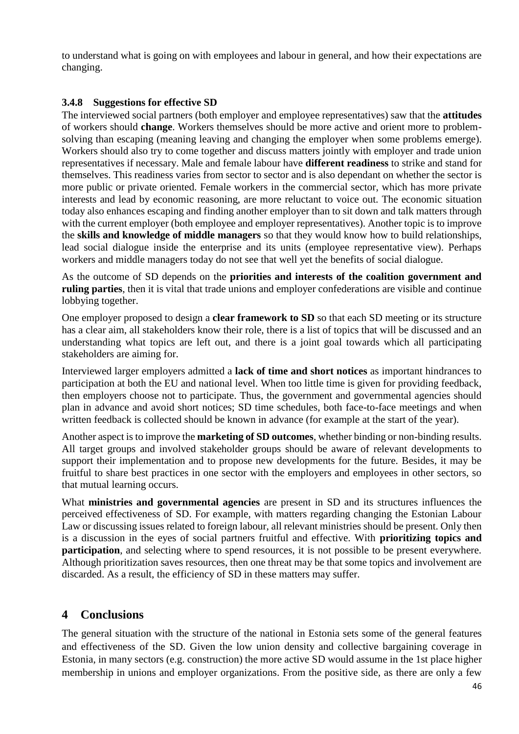to understand what is going on with employees and labour in general, and how their expectations are changing.

## <span id="page-45-0"></span>**3.4.8 Suggestions for effective SD**

The interviewed social partners (both employer and employee representatives) saw that the **attitudes** of workers should **change**. Workers themselves should be more active and orient more to problemsolving than escaping (meaning leaving and changing the employer when some problems emerge). Workers should also try to come together and discuss matters jointly with employer and trade union representatives if necessary. Male and female labour have **different readiness** to strike and stand for themselves. This readiness varies from sector to sector and is also dependant on whether the sector is more public or private oriented. Female workers in the commercial sector, which has more private interests and lead by economic reasoning, are more reluctant to voice out. The economic situation today also enhances escaping and finding another employer than to sit down and talk matters through with the current employer (both employee and employer representatives). Another topic is to improve the **skills and knowledge of middle managers** so that they would know how to build relationships, lead social dialogue inside the enterprise and its units (employee representative view). Perhaps workers and middle managers today do not see that well yet the benefits of social dialogue.

As the outcome of SD depends on the **priorities and interests of the coalition government and ruling parties**, then it is vital that trade unions and employer confederations are visible and continue lobbying together.

One employer proposed to design a **clear framework to SD** so that each SD meeting or its structure has a clear aim, all stakeholders know their role, there is a list of topics that will be discussed and an understanding what topics are left out, and there is a joint goal towards which all participating stakeholders are aiming for.

Interviewed larger employers admitted a **lack of time and short notices** as important hindrances to participation at both the EU and national level. When too little time is given for providing feedback, then employers choose not to participate. Thus, the government and governmental agencies should plan in advance and avoid short notices; SD time schedules, both face-to-face meetings and when written feedback is collected should be known in advance (for example at the start of the year).

Another aspect is to improve the **marketing of SD outcomes**, whether binding or non-binding results. All target groups and involved stakeholder groups should be aware of relevant developments to support their implementation and to propose new developments for the future. Besides, it may be fruitful to share best practices in one sector with the employers and employees in other sectors, so that mutual learning occurs.

What **ministries and governmental agencies** are present in SD and its structures influences the perceived effectiveness of SD. For example, with matters regarding changing the Estonian Labour Law or discussing issues related to foreign labour, all relevant ministries should be present. Only then is a discussion in the eyes of social partners fruitful and effective. With **prioritizing topics and participation**, and selecting where to spend resources, it is not possible to be present everywhere. Although prioritization saves resources, then one threat may be that some topics and involvement are discarded. As a result, the efficiency of SD in these matters may suffer.

# **4 Conclusions**

The general situation with the structure of the national in Estonia sets some of the general features and effectiveness of the SD. Given the low union density and collective bargaining coverage in Estonia, in many sectors (e.g. construction) the more active SD would assume in the 1st place higher membership in unions and employer organizations. From the positive side, as there are only a few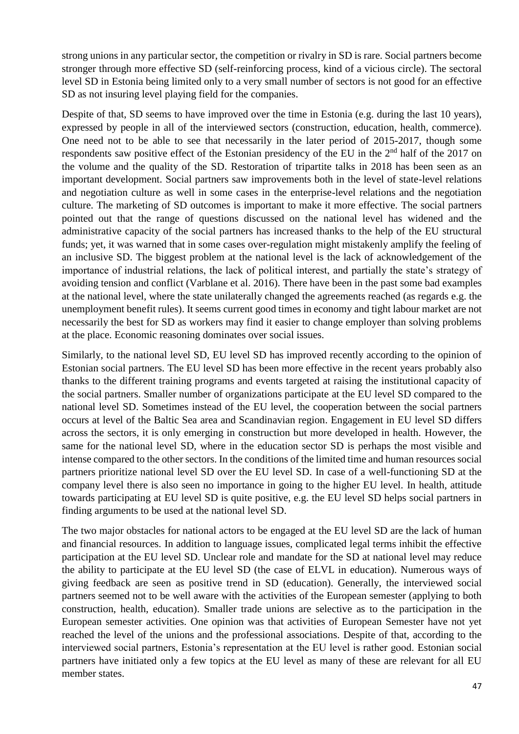strong unions in any particular sector, the competition or rivalry in SD is rare. Social partners become stronger through more effective SD (self-reinforcing process, kind of a vicious circle). The sectoral level SD in Estonia being limited only to a very small number of sectors is not good for an effective SD as not insuring level playing field for the companies.

Despite of that, SD seems to have improved over the time in Estonia (e.g. during the last 10 years), expressed by people in all of the interviewed sectors (construction, education, health, commerce). One need not to be able to see that necessarily in the later period of 2015-2017, though some respondents saw positive effect of the Estonian presidency of the EU in the 2<sup>nd</sup> half of the 2017 on the volume and the quality of the SD. Restoration of tripartite talks in 2018 has been seen as an important development. Social partners saw improvements both in the level of state-level relations and negotiation culture as well in some cases in the enterprise-level relations and the negotiation culture. The marketing of SD outcomes is important to make it more effective. The social partners pointed out that the range of questions discussed on the national level has widened and the administrative capacity of the social partners has increased thanks to the help of the EU structural funds; yet, it was warned that in some cases over-regulation might mistakenly amplify the feeling of an inclusive SD. The biggest problem at the national level is the lack of acknowledgement of the importance of industrial relations, the lack of political interest, and partially the state's strategy of avoiding tension and conflict (Varblane et al. 2016). There have been in the past some bad examples at the national level, where the state unilaterally changed the agreements reached (as regards e.g. the unemployment benefit rules). It seems current good times in economy and tight labour market are not necessarily the best for SD as workers may find it easier to change employer than solving problems at the place. Economic reasoning dominates over social issues.

Similarly, to the national level SD, EU level SD has improved recently according to the opinion of Estonian social partners. The EU level SD has been more effective in the recent years probably also thanks to the different training programs and events targeted at raising the institutional capacity of the social partners. Smaller number of organizations participate at the EU level SD compared to the national level SD. Sometimes instead of the EU level, the cooperation between the social partners occurs at level of the Baltic Sea area and Scandinavian region. Engagement in EU level SD differs across the sectors, it is only emerging in construction but more developed in health. However, the same for the national level SD, where in the education sector SD is perhaps the most visible and intense compared to the other sectors. In the conditions of the limited time and human resources social partners prioritize national level SD over the EU level SD. In case of a well-functioning SD at the company level there is also seen no importance in going to the higher EU level. In health, attitude towards participating at EU level SD is quite positive, e.g. the EU level SD helps social partners in finding arguments to be used at the national level SD.

The two major obstacles for national actors to be engaged at the EU level SD are the lack of human and financial resources. In addition to language issues, complicated legal terms inhibit the effective participation at the EU level SD. Unclear role and mandate for the SD at national level may reduce the ability to participate at the EU level SD (the case of ELVL in education). Numerous ways of giving feedback are seen as positive trend in SD (education). Generally, the interviewed social partners seemed not to be well aware with the activities of the European semester (applying to both construction, health, education). Smaller trade unions are selective as to the participation in the European semester activities. One opinion was that activities of European Semester have not yet reached the level of the unions and the professional associations. Despite of that, according to the interviewed social partners, Estonia's representation at the EU level is rather good. Estonian social partners have initiated only a few topics at the EU level as many of these are relevant for all EU member states.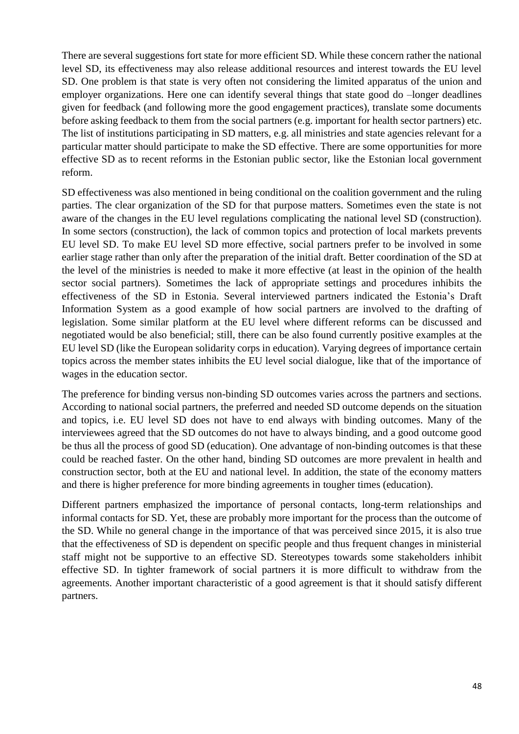There are several suggestions fort state for more efficient SD. While these concern rather the national level SD, its effectiveness may also release additional resources and interest towards the EU level SD. One problem is that state is very often not considering the limited apparatus of the union and employer organizations. Here one can identify several things that state good do –longer deadlines given for feedback (and following more the good engagement practices), translate some documents before asking feedback to them from the social partners (e.g. important for health sector partners) etc. The list of institutions participating in SD matters, e.g. all ministries and state agencies relevant for a particular matter should participate to make the SD effective. There are some opportunities for more effective SD as to recent reforms in the Estonian public sector, like the Estonian local government reform.

SD effectiveness was also mentioned in being conditional on the coalition government and the ruling parties. The clear organization of the SD for that purpose matters. Sometimes even the state is not aware of the changes in the EU level regulations complicating the national level SD (construction). In some sectors (construction), the lack of common topics and protection of local markets prevents EU level SD. To make EU level SD more effective, social partners prefer to be involved in some earlier stage rather than only after the preparation of the initial draft. Better coordination of the SD at the level of the ministries is needed to make it more effective (at least in the opinion of the health sector social partners). Sometimes the lack of appropriate settings and procedures inhibits the effectiveness of the SD in Estonia. Several interviewed partners indicated the Estonia's Draft Information System as a good example of how social partners are involved to the drafting of legislation. Some similar platform at the EU level where different reforms can be discussed and negotiated would be also beneficial; still, there can be also found currently positive examples at the EU level SD (like the European solidarity corps in education). Varying degrees of importance certain topics across the member states inhibits the EU level social dialogue, like that of the importance of wages in the education sector.

The preference for binding versus non-binding SD outcomes varies across the partners and sections. According to national social partners, the preferred and needed SD outcome depends on the situation and topics, i.e. EU level SD does not have to end always with binding outcomes. Many of the interviewees agreed that the SD outcomes do not have to always binding, and a good outcome good be thus all the process of good SD (education). One advantage of non-binding outcomes is that these could be reached faster. On the other hand, binding SD outcomes are more prevalent in health and construction sector, both at the EU and national level. In addition, the state of the economy matters and there is higher preference for more binding agreements in tougher times (education).

Different partners emphasized the importance of personal contacts, long-term relationships and informal contacts for SD. Yet, these are probably more important for the process than the outcome of the SD. While no general change in the importance of that was perceived since 2015, it is also true that the effectiveness of SD is dependent on specific people and thus frequent changes in ministerial staff might not be supportive to an effective SD. Stereotypes towards some stakeholders inhibit effective SD. In tighter framework of social partners it is more difficult to withdraw from the agreements. Another important characteristic of a good agreement is that it should satisfy different partners.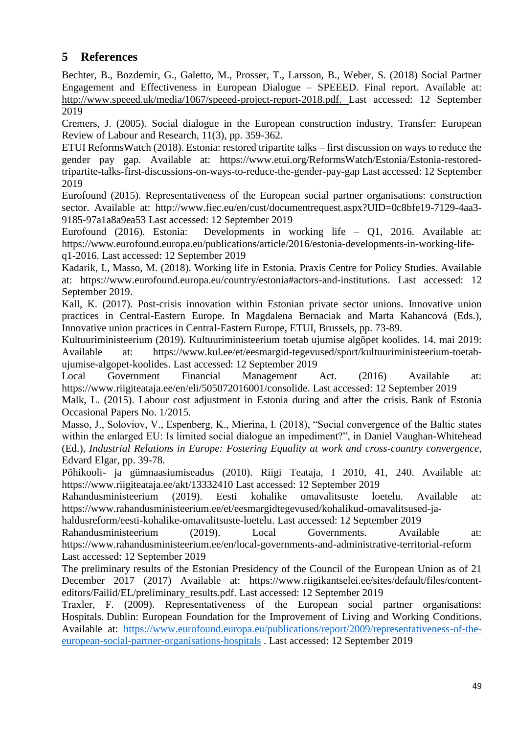# <span id="page-48-0"></span>**5 References**

Bechter, B., Bozdemir, G., Galetto, M., Prosser, T., Larsson, B., Weber, S. (2018) Social Partner Engagement and Effectiveness in European Dialogue – SPEEED. Final report. Available at: [http://www.speeed.uk/media/1067/speeed-project-report-2018.pdf.](http://www.speeed.uk/media/1067/speeed-project-report-2018.pdf) Last accessed: 12 September 2019

Cremers, J. (2005). Social dialogue in the European construction industry. Transfer: European Review of Labour and Research, 11(3), pp. 359-362.

ETUI ReformsWatch (2018). Estonia: restored tripartite talks – first discussion on ways to reduce the gender pay gap. Available at: [https://www.etui.org/ReformsWatch/Estonia/Estonia-restored](https://www.etui.org/ReformsWatch/Estonia/Estonia-restored-tripartite-talks-first-discussions-on-ways-to-reduce-the-gender-pay-gap)[tripartite-talks-first-discussions-on-ways-to-reduce-the-gender-pay-gap](https://www.etui.org/ReformsWatch/Estonia/Estonia-restored-tripartite-talks-first-discussions-on-ways-to-reduce-the-gender-pay-gap) Last accessed: 12 September 2019

Eurofound (2015). Representativeness of the European social partner organisations: construction sector. Available at: [http://www.fiec.eu/en/cust/documentrequest.aspx?UID=0c8bfe19-7129-4aa3-](http://www.fiec.eu/en/cust/documentrequest.aspx?UID=0c8bfe19-7129-4aa3-9185-97a1a8a9ea53) [9185-97a1a8a9ea53](http://www.fiec.eu/en/cust/documentrequest.aspx?UID=0c8bfe19-7129-4aa3-9185-97a1a8a9ea53) Last accessed: 12 September 2019

Eurofound (2016). Estonia: Developments in working life – Q1, 2016. Available at: [https://www.eurofound.europa.eu/publications/article/2016/estonia-developments-in-working-life](https://www.eurofound.europa.eu/publications/article/2016/estonia-developments-in-working-life-q1-2016)[q1-2016.](https://www.eurofound.europa.eu/publications/article/2016/estonia-developments-in-working-life-q1-2016) Last accessed: 12 September 2019

Kadarik, I., Masso, M. (2018). Working life in Estonia. Praxis Centre for Policy Studies. Available at: [https://www.eurofound.europa.eu/country/estonia#actors-and-institutions.](https://www.eurofound.europa.eu/country/estonia#actors-and-institutions) Last accessed: 12 September 2019.

Kall, K. (2017). Post-crisis innovation within Estonian private sector unions. Innovative union practices in Central-Eastern Europe. In Magdalena Bernaciak and Marta Kahancová (Eds.), Innovative union practices in Central-Eastern Europe, ETUI, Brussels, pp. 73-89.

Kultuuriministeerium (2019). Kultuuriministeerium toetab ujumise algõpet koolides. 14. mai 2019: Available at: [https://www.kul.ee/et/eesmargid-tegevused/sport/kultuuriministeerium-toetab](https://www.kul.ee/et/eesmargid-tegevused/sport/kultuuriministeerium-toetab-ujumise-algopet-koolides)[ujumise-algopet-koolides.](https://www.kul.ee/et/eesmargid-tegevused/sport/kultuuriministeerium-toetab-ujumise-algopet-koolides) Last accessed: 12 September 2019

Local Government Financial Management Act. (2016) Available at: [https://www.riigiteataja.ee/en/eli/505072016001/consolide.](https://www.riigiteataja.ee/en/eli/505072016001/consolide) Last accessed: 12 September 2019

Malk, L. (2015). Labour cost adjustment in Estonia during and after the crisis. Bank of Estonia Occasional Papers No. 1/2015.

Masso, J., Soloviov, V., Espenberg, K., Mierina, I. (2018), "Social convergence of the Baltic states within the enlarged EU: Is limited social dialogue an impediment?", in Daniel Vaughan-Whitehead (Ed.), *Industrial Relations in Europe: Fostering Equality at work and cross-country convergence*, Edvard Elgar, pp. 39-78.

Põhikooli- ja gümnaasiumiseadus (2010). Riigi Teataja, I 2010, 41, 240. Available at: <https://www.riigiteataja.ee/akt/13332410> Last accessed: 12 September 2019

Rahandusministeerium (2019). Eesti kohalike omavalitsuste loetelu. Available at: [https://www.rahandusministeerium.ee/et/eesmargidtegevused/kohalikud-omavalitsused-ja-](https://www.rahandusministeerium.ee/et/eesmargidtegevused/kohalikud-omavalitsused-ja-haldusreform/eesti-kohalike-omavalitsuste-loetelu)

[haldusreform/eesti-kohalike-omavalitsuste-loetelu.](https://www.rahandusministeerium.ee/et/eesmargidtegevused/kohalikud-omavalitsused-ja-haldusreform/eesti-kohalike-omavalitsuste-loetelu) Last accessed: 12 September 2019

Rahandusministeerium (2019). Local Governments. Available at: <https://www.rahandusministeerium.ee/en/local-governments-and-administrative-territorial-reform> Last accessed: 12 September 2019

The preliminary results of the Estonian Presidency of the Council of the European Union as of 21 December 2017 (2017) Available at: [https://www.riigikantselei.ee/sites/default/files/content](https://www.riigikantselei.ee/sites/default/files/content-editors/Failid/EL/preliminary_results.pdf)[editors/Failid/EL/preliminary\\_results.pdf.](https://www.riigikantselei.ee/sites/default/files/content-editors/Failid/EL/preliminary_results.pdf) Last accessed: 12 September 2019

Traxler, F. (2009). Representativeness of the European social partner organisations: Hospitals. Dublin: European Foundation for the Improvement of Living and Working Conditions. Available at: [https://www.eurofound.europa.eu/publications/report/2009/representativeness-of-the](https://www.eurofound.europa.eu/publications/report/2009/representativeness-of-the-european-social-partner-organisations-hospitals)[european-social-partner-organisations-hospitals](https://www.eurofound.europa.eu/publications/report/2009/representativeness-of-the-european-social-partner-organisations-hospitals) . Last accessed: 12 September 2019